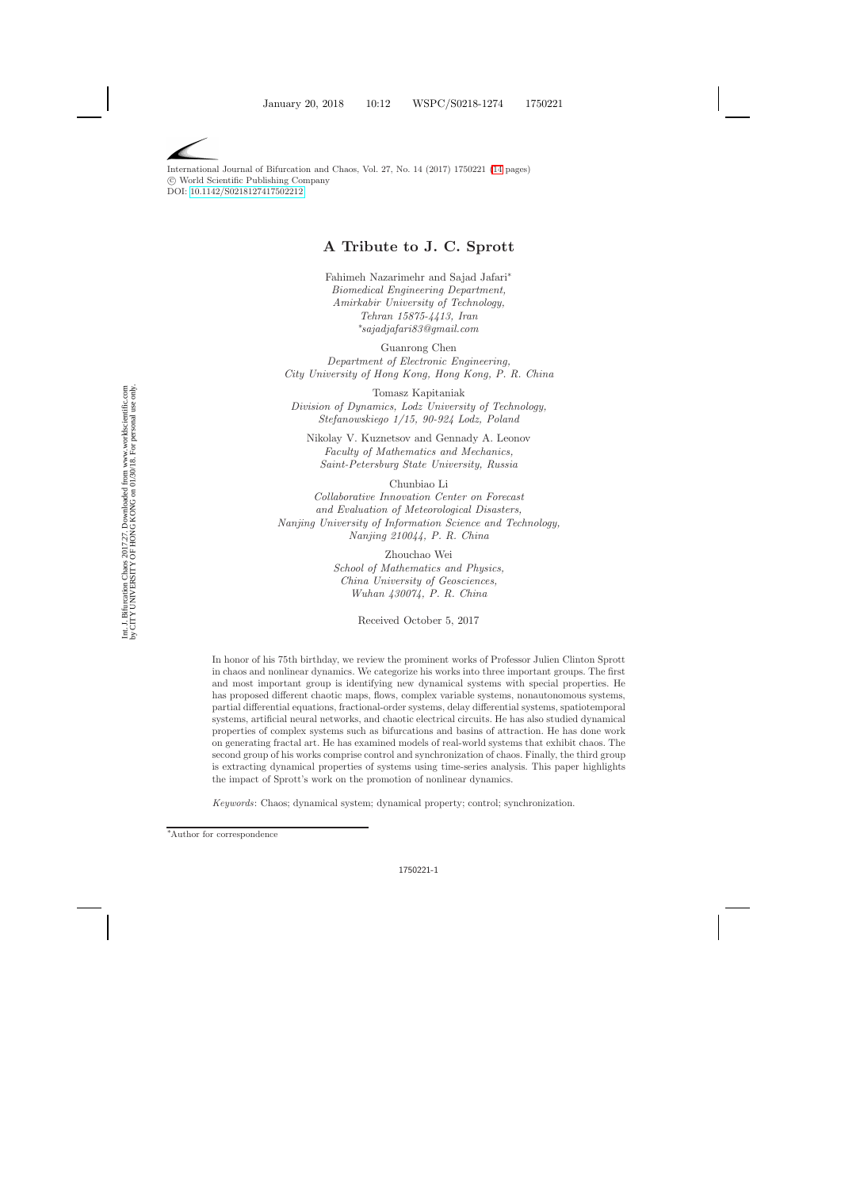International Journal of Bifurcation and Chaos, Vol. 27, No. 14 (2017) 1750221 [\(14](#page-7-0) pages) c World Scientific Publishing Company DOI: [10.1142/S0218127417502212](http://dx.doi.org/10.1142/S0218127417502212)

# **A Tribute to J. C. Sprott**

Fahimeh Nazarimehr and Sajad Jafari∗ *Biomedical Engineering Department, Amirkabir University of Technology, Tehran 15875-4413, Iran* ∗ *sajadjafari83@gmail.com*

Guanrong Chen *Department of Electronic Engineering, City University of Hong Kong, Hong Kong, P. R. China*

Tomasz Kapitaniak *Division of Dynamics, Lodz University of Technology, Stefanowskiego 1/15, 90-924 Lodz, Poland*

Nikolay V. Kuznetsov and Gennady A. Leonov *Faculty of Mathematics and Mechanics, Saint-Petersburg State University, Russia*

Chunbiao Li *Collaborative Innovation Center on Forecast and Evaluation of Meteorological Disasters, Nanjing University of Information Science and Technology, Nanjing 210044, P. R. China*

> Zhouchao Wei *School of Mathematics and Physics, China University of Geosciences, Wuhan 430074, P. R. China*

> > Received October 5, 2017

In honor of his 75th birthday, we review the prominent works of Professor Julien Clinton Sprott in chaos and nonlinear dynamics. We categorize his works into three important groups. The first and most important group is identifying new dynamical systems with special properties. He has proposed different chaotic maps, flows, complex variable systems, nonautonomous systems, partial differential equations, fractional-order systems, delay differential systems, spatiotemporal systems, artificial neural networks, and chaotic electrical circuits. He has also studied dynamical properties of complex systems such as bifurcations and basins of attraction. He has done work on generating fractal art. He has examined models of real-world systems that exhibit chaos. The second group of his works comprise control and synchronization of chaos. Finally, the third group is extracting dynamical properties of systems using time-series analysis. This paper highlights the impact of Sprott's work on the promotion of nonlinear dynamics.

*Keywords*: Chaos; dynamical system; dynamical property; control; synchronization.

<sup>∗</sup> Author for correspondence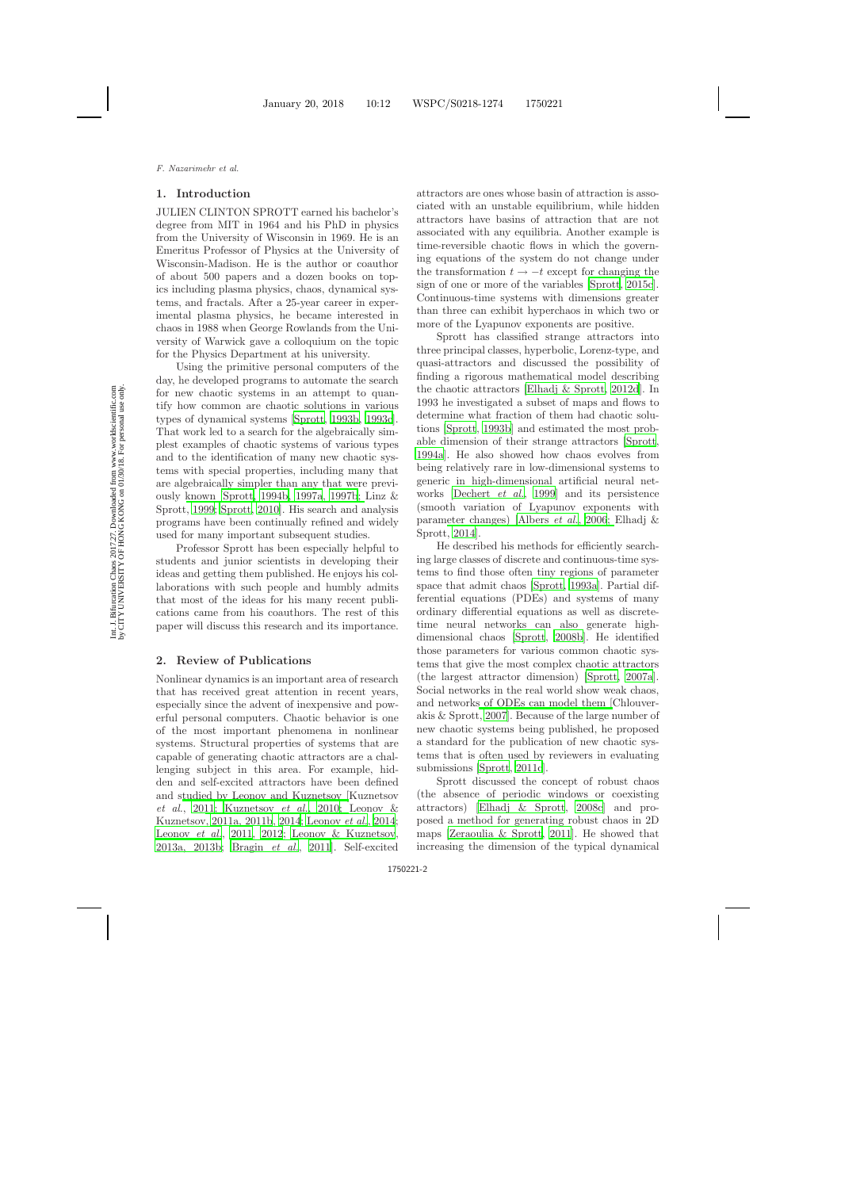## **1. Introduction**

JULIEN CLINTON SPROTT earned his bachelor's degree from MIT in 1964 and his PhD in physics from the University of Wisconsin in 1969. He is an Emeritus Professor of Physics at the University of Wisconsin-Madison. He is the author or coauthor of about 500 papers and a dozen books on topics including plasma physics, chaos, dynamical systems, and fractals. After a 25-year career in experimental plasma physics, he became interested in chaos in 1988 when George Rowlands from the University of Warwick gave a colloquium on the topic for the Physics Department at his university.

Using the primitive personal computers of the day, he developed programs to automate the search for new chaotic systems in an attempt to quantify how common are chaotic solutions in various types of dynamical systems [\[Sprott](#page-11-0), [1993b,](#page-11-0) [1993c](#page-11-1)]. That work led to a search for the algebraically simplest examples of chaotic systems of various types and to the identification of many new chaotic systems with special properties, including many that are algebraically simpler than any that were previously known [\[Sprott](#page-11-2), [1994b](#page-11-2), [1997a](#page-11-3)[,](#page-10-0) [1997b](#page-11-4)[;](#page-10-0) Linz & Sprott, [1999;](#page-10-0) [Sprott](#page-12-0), [2010\]](#page-12-0). His search and analysis programs have been continually refined and widely used for many important subsequent studies.

Professor Sprott has been especially helpful to students and junior scientists in developing their ideas and getting them published. He enjoys his collaborations with such people and humbly admits that most of the ideas for his many recent publications came from his coauthors. The rest of this paper will discuss this research and its importance.

### **2. Review of Publications**

Nonlinear dynamics is an important area of research that has received great attention in recent years, especially since the advent of inexpensive and powerful personal computers. Chaotic behavior is one of the most important phenomena in nonlinear systems. Structural properties of systems that are capable of generating chaotic attractors are a challenging subject in this area. For example, hidden and self-excited attractors have been defined and s[tudied by Leonov and Kuznetsov \[](#page-9-0)Kuznetsov *et al.*, [2011](#page-9-0)[;](#page-10-1) [Kuznetsov](#page-9-1) *et al.*, [2010;](#page-9-1) Leonov & Kuznetsov, [2011a, 2011b](#page-10-1), [2014](#page-10-2); [Leonov](#page-10-3) *et al.*, [2014](#page-10-3); [Leonov](#page-10-4) *et al.*, [2011](#page-10-4), [2012](#page-10-5); [Leonov & Kuznetsov](#page-10-6), [2013a, 2013b;](#page-10-6) [Bragin](#page-7-1) *et al.*, [2011](#page-7-1)]. Self-excited attractors are ones whose basin of attraction is associated with an unstable equilibrium, while hidden attractors have basins of attraction that are not associated with any equilibria. Another example is time-reversible chaotic flows in which the governing equations of the system do not change under the transformation  $t \rightarrow -t$  except for changing the sign of one or more of the variables [\[Sprott](#page-12-1), [2015c](#page-12-1)]. Continuous-time systems with dimensions greater than three can exhibit hyperchaos in which two or more of the Lyapunov exponents are positive.

Sprott has classified strange attractors into three principal classes, hyperbolic, Lorenz-type, and quasi-attractors and discussed the possibility of finding a rigorous mathematical model describing the chaotic attractors [\[Elhadj & Sprott](#page-8-0), [2012d](#page-8-0)]. In 1993 he investigated a subset of maps and flows to determine what fraction of them had chaotic solutions [\[Sprott](#page-11-0), [1993b\]](#page-11-0) and estimated the most probable dimension of their strange attractors [\[Sprott](#page-11-5), [1994a](#page-11-5)]. He also showed how chaos evolves from being relatively rare in low-dimensional systems to generic in high-dimensional artificial neural networks [\[Dechert](#page-8-1) *et al.*, [1999](#page-8-1)] and its persistence (smooth variation of Lyapunov exponents with param[eter changes\)](#page-9-2) [\[Albers](#page-7-2) *et al.*, [2006](#page-7-2); Elhadj & Sprott, [2014\]](#page-9-2).

He described his methods for efficiently searching large classes of discrete and continuous-time systems to find those often tiny regions of parameter space that admit chaos [\[Sprott](#page-11-6), [1993a](#page-11-6)]. Partial differential equations (PDEs) and systems of many ordinary differential equations as well as discretetime neural networks can also generate highdimensional chaos [\[Sprott](#page-12-2), [2008b\]](#page-12-2). He identified those parameters for various common chaotic systems that give the most complex chaotic attractors (the largest attractor dimension) [\[Sprott](#page-12-3), [2007a](#page-12-3)]. Social networks in the real world show weak chaos, and network[s of ODEs can model them \[](#page-8-2)Chlouverakis & Sprott, [2007\]](#page-8-2). Because of the large number of new chaotic systems being published, he proposed a standard for the publication of new chaotic systems that is often used by reviewers in evaluating submissions [\[Sprott](#page-12-4), [2011c](#page-12-4)].

Sprott discussed the concept of robust chaos (the absence of periodic windows or coexisting attractors) [\[Elhadj & Sprott](#page-8-3), [2008c\]](#page-8-3) and proposed a method for generating robust chaos in 2D maps [\[Zeraoulia & Sprott](#page-13-0), [2011](#page-13-0)]. He showed that increasing the dimension of the typical dynamical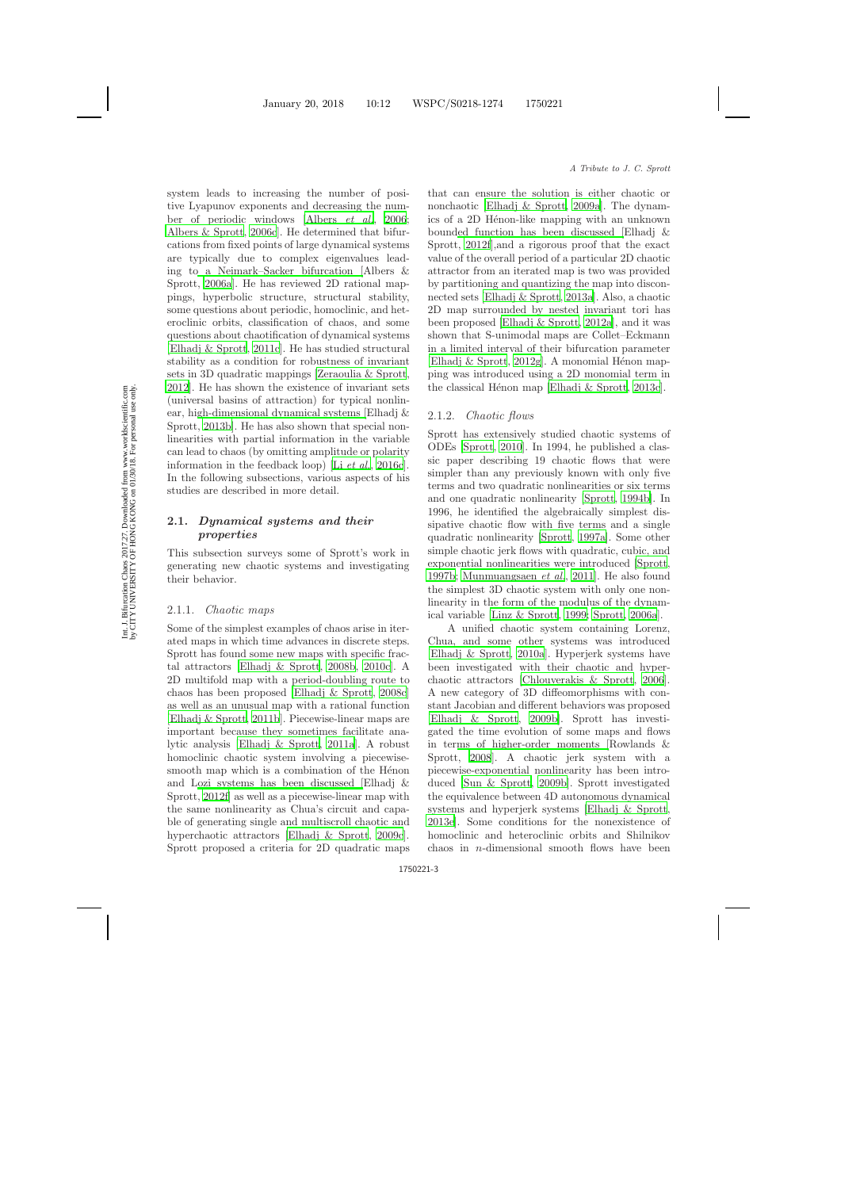system leads to increasing the number of positive Lyapunov exponents and decreasing the number of periodic windows [\[Albers](#page-7-3) *et al.*, [2006](#page-7-3); [Albers & Sprott](#page-7-4), [2006c](#page-7-4)]. He determined that bifurcations from fixed points of large dynamical systems are typically due to complex eigenvalues leading t[o a Neimark–Sacker bifurcation \[](#page-7-5)Albers & Sprott, [2006a](#page-7-5)]. He has reviewed 2D rational mappings, hyperbolic structure, structural stability, some questions about periodic, homoclinic, and heteroclinic orbits, classification of chaos, and some questions about chaotification of dynamical systems [\[Elhadj & Sprott](#page-8-4), [2011c](#page-8-4)]. He has studied structural stability as a condition for robustness of invariant sets in 3D quadratic mappings [\[Zeraoulia & Sprott](#page-13-1), [2012](#page-13-1)]. He has shown the existence of invariant sets (universal basins of attraction) for typical nonlinear, hi[gh-dimensional dynamical systems \[](#page-9-3)Elhadj & Sprott, [2013b](#page-9-3)]. He has also shown that special nonlinearities with partial information in the variable can lead to chaos (by omitting amplitude or polarity information in the feedback loop) [Li *[et al.](#page-10-7)*, [2016c](#page-10-7)]. In the following subsections, various aspects of his studies are described in more detail.

# **2.1.** *Dynamical systems and their properties*

This subsection surveys some of Sprott's work in generating new chaotic systems and investigating their behavior.

#### 2.1.1. *Chaotic maps*

Some of the simplest examples of chaos arise in iterated maps in which time advances in discrete steps. Sprott has found some new maps with specific fractal attractors [\[Elhadj & Sprott](#page-8-5), [2008b](#page-8-5), [2010c](#page-8-6)]. A 2D multifold map with a period-doubling route to chaos has been proposed [\[Elhadj & Sprott](#page-8-7), [2008c](#page-8-7)] as well as an unusual map with a rational function [\[Elhadj & Sprott](#page-8-8), [2011b](#page-8-8)]. Piecewise-linear maps are important because they sometimes facilitate analytic analysis [\[Elhadj & Sprott](#page-8-9), [2011a](#page-8-9)]. A robust homoclinic chaotic system involving a piecewisesmooth map which is a combination of the Hénon and [Lozi systems has been discussed \[](#page-8-10)Elhadj & Sprott, [2012f](#page-8-10)] as well as a piecewise-linear map with the same nonlinearity as Chua's circuit and capable of generating single and multiscroll chaotic and hyperchaotic attractors [\[Elhadj & Sprott](#page-8-11), [2009c](#page-8-11)]. Sprott proposed a criteria for 2D quadratic maps that can ensure the solution is either chaotic or nonchaotic [\[Elhadj & Sprott](#page-8-12), [2009a](#page-8-12)]. The dynamics of a 2D Hénon-like mapping with an unknown boun[ded function has been discussed \[](#page-8-10)Elhadj & Sprott, [2012f](#page-8-10)],and a rigorous proof that the exact value of the overall period of a particular 2D chaotic attractor from an iterated map is two was provided by partitioning and quantizing the map into disconnected sets [\[Elhadj & Sprott](#page-9-4), [2013a](#page-9-4)]. Also, a chaotic 2D map surrounded by nested invariant tori has been proposed [\[Elhadj & Sprott](#page-8-13), [2012a](#page-8-13)], and it was shown that S-unimodal maps are Collet–Eckmann in a limited interval of their bifurcation parameter [\[Elhadj & Sprott](#page-8-14), [2012g](#page-8-14)]. A monomial Hénon mapping was introduced using a 2D monomial term in the classical Hénon map [Elhadj  $&$  Sprott, [2013c](#page-9-5)].

#### 2.1.2. *Chaotic flows*

Sprott has extensively studied chaotic systems of ODEs [\[Sprott](#page-12-5), [2010](#page-12-5)]. In 1994, he published a classic paper describing 19 chaotic flows that were simpler than any previously known with only five terms and two quadratic nonlinearities or six terms and one quadratic nonlinearity [\[Sprott](#page-11-7), [1994b](#page-11-7)]. In 1996, he identified the algebraically simplest dissipative chaotic flow with five terms and a single quadratic nonlinearity [\[Sprott](#page-11-8), [1997a](#page-11-8)]. Some other simple chaotic jerk flows with quadratic, cubic, and exponential nonlinearities were introduced [\[Sprott](#page-11-9), [1997b](#page-11-9); [Munmuangsaen](#page-11-10) *et al.*, [2011](#page-11-10)]. He also found the simplest 3D chaotic system with only one nonlinearity in the form of the modulus of the dynamical variable [\[Linz & Sprott](#page-10-8), [1999](#page-10-8); [Sprott](#page-12-6), [2006a](#page-12-6)].

A unified chaotic system containing Lorenz, Chua, and some other systems was introduced [\[Elhadj & Sprott](#page-8-15), [2010a](#page-8-15)]. Hyperjerk systems have been investigated with their chaotic and hyperchaotic attractors [\[Chlouverakis & Sprott](#page-8-16), [2006](#page-8-16)]. A new category of 3D diffeomorphisms with constant Jacobian and different behaviors was proposed [\[Elhadj & Sprott](#page-8-17), [2009b](#page-8-17)]. Sprott has investigated the time evolution of some maps and flows in ter[ms of higher-order moments \[](#page-11-11)Rowlands & Sprott, [2008](#page-11-11)]. A chaotic jerk system with a piecewise-exponential nonlinearity has been introduced [\[Sun & Sprott](#page-12-7), [2009b](#page-12-7)]. Sprott investigated the equivalence between 4D autonomous dynamical systems and hyperjerk systems [\[Elhadj & Sprott](#page-9-6), [2013e](#page-9-6)]. Some conditions for the nonexistence of homoclinic and heteroclinic orbits and Shilnikov chaos in n-dimensional smooth flows have been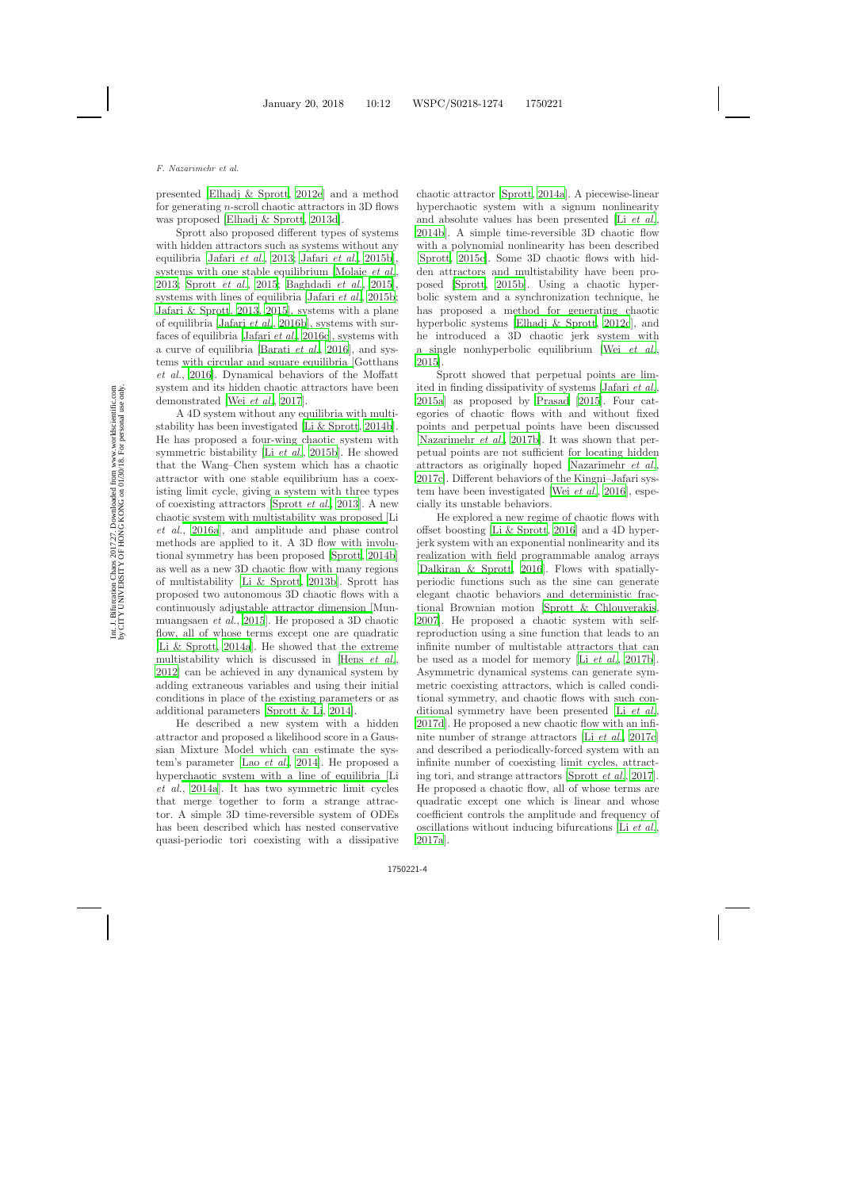presented [\[Elhadj & Sprott](#page-8-18), [2012e\]](#page-8-18) and a method for generating n-scroll chaotic attractors in 3D flows was proposed [\[Elhadj & Sprott](#page-9-7), [2013d\]](#page-9-7).

Sprott also proposed different types of systems with hidden attractors such as systems without any equilibria [\[Jafari](#page-9-8) *et al.*, [2013;](#page-9-8) [Jafari](#page-9-9) *et al.*, [2015b](#page-9-9)], systems with one stable equilibrium [\[Molaie](#page-11-12) *et al.*, [2013;](#page-11-12) [Sprott](#page-12-8) *et al.*, [2015](#page-12-8); [Baghdadi](#page-7-6) *et al.*, [2015](#page-7-6)], systems with lines of equilibria [\[Jafari](#page-9-9) *et al.*, [2015b](#page-9-9); [Jafari & Sprott](#page-9-10), [2013](#page-9-10), [2015\]](#page-9-11), systems with a plane of equilibria [\[Jafari](#page-9-12) *et al.*, [2016b](#page-9-12)], systems with surfaces of equilibria [\[Jafari](#page-9-13) *et al.*, [2016c](#page-9-13)], systems with a curve of equilibria [\[Barati](#page-7-7) *et al.*, [2016](#page-7-7)], and systems [with circular and square equilibria \[](#page-9-14)Gotthans *et al.*, [2016\]](#page-9-14). Dynamical behaviors of the Moffatt system and its hidden chaotic attractors have been demonstrated [Wei *[et al.](#page-13-2)*, [2017](#page-13-2)].

A 4D system without any equilibria with multistability has been investigated [\[Li & Sprott](#page-10-9), [2014b](#page-10-9)]. He has proposed a four-wing chaotic system with symmetric bistability [Li *[et al.](#page-10-10)*, [2015b](#page-10-10)]. He showed that the Wang–Chen system which has a chaotic attractor with one stable equilibrium has a coexisting limit cycle, giving a system with three types of coexisting attractors [\[Sprott](#page-12-9) *et al.*, [2013](#page-12-9)]. A new chaot[ic system with multistability was proposed \[](#page-10-11)Li *et al.*, [2016a](#page-10-11)], and amplitude and phase control methods are applied to it. A 3D flow with involutional symmetry has been proposed [\[Sprott](#page-12-10), [2014b](#page-12-10)] as well as a new 3D chaotic flow with many regions of multistability [\[Li & Sprott](#page-10-12), [2013b\]](#page-10-12). Sprott has proposed two autonomous 3D chaotic flows with a continuously adj[ustable attractor dimension \[](#page-11-13)Munmuangsaen *et al.*, [2015](#page-11-13)]. He proposed a 3D chaotic flow, all of whose terms except one are quadratic [\[Li & Sprott](#page-10-13), [2014a](#page-10-13)]. He showed that the extreme multistability which is discussed in [Hens *[et al.](#page-9-15)*, [2012](#page-9-15)] can be achieved in any dynamical system by adding extraneous variables and using their initial conditions in place of the existing parameters or as additional parameters [\[Sprott & Li](#page-12-11), [2014\]](#page-12-11).

He described a new system with a hidden attractor and proposed a likelihood score in a Gaussian Mixture Model which can estimate the system's parameter [Lao *[et al.](#page-9-16)*, [2014\]](#page-9-16). He proposed a hype[rchaotic system with a line of equilibria \[](#page-10-14)Li *et al.*, [2014a](#page-10-14)]. It has two symmetric limit cycles that merge together to form a strange attractor. A simple 3D time-reversible system of ODEs has been described which has nested conservative quasi-periodic tori coexisting with a dissipative chaotic attractor [\[Sprott](#page-12-12), [2014a\]](#page-12-12). A piecewise-linear hyperchaotic system with a signum nonlinearity and absolute values has been presented [Li *[et al.](#page-10-15)*, [2014b](#page-10-15)]. A simple time-reversible 3D chaotic flow with a polynomial nonlinearity has been described [\[Sprott](#page-12-1), [2015c\]](#page-12-1). Some 3D chaotic flows with hidden attractors and multistability have been proposed [\[Sprott](#page-12-13), [2015b\]](#page-12-13). Using a chaotic hyperbolic system and a synchronization technique, he has proposed a method for generating chaotic hyperbolic systems [\[Elhadj & Sprott](#page-8-19), [2012c](#page-8-19)], and he introduced a 3D chaotic jerk system with a single nonhyperbolic equilibrium [Wei *[et al.](#page-13-3)*, [2015](#page-13-3)].

Sprott showed that perpetual points are limited in finding dissipativity of systems [\[Jafari](#page-9-17) *et al.*, [2015a](#page-9-17)] as proposed by [Prasad](#page-11-14) [\[2015](#page-11-14)]. Four categories of chaotic flows with and without fixed points and perpetual points have been discussed [\[Nazarimehr](#page-11-15) *et al.*, [2017b\]](#page-11-15). It was shown that perpetual points are not sufficient for locating hidden attractors as originally hoped [\[Nazarimehr](#page-11-16) *et al.*, [2017c\]](#page-11-16). Different behaviors of the Kingni–Jafari system have been investigated [Wei *[et al.](#page-13-4)*, [2016\]](#page-13-4), especially its unstable behaviors.

He explored a new regime of chaotic flows with offset boosting [\[Li & Sprott](#page-10-16), [2016](#page-10-16)] and a 4D hyperjerk system with an exponential nonlinearity and its realization with field programmable analog arrays [\[Dalkiran & Sprott](#page-8-20), [2016](#page-8-20)]. Flows with spatiallyperiodic functions such as the sine can generate elegant chaotic behaviors and deterministic fractional Brownian motion [\[Sprott & Chlouverakis](#page-12-14), [2007](#page-12-14)]. He proposed a chaotic system with selfreproduction using a sine function that leads to an infinite number of multistable attractors that can be used as a model for memory [Li *[et al.](#page-10-17)*, [2017b](#page-10-17)]. Asymmetric dynamical systems can generate symmetric coexisting attractors, which is called conditional symmetry, and chaotic flows with such conditional symmetry have been presented [Li *[et al.](#page-10-18)*, [2017d](#page-10-18)]. He proposed a new chaotic flow with an infinite number of strange attractors [Li *[et al.](#page-10-19)*, [2017c](#page-10-19)] and described a periodically-forced system with an infinite number of coexisting limit cycles, attracting tori, and strange attractors [\[Sprott](#page-12-15) *et al.*, [2017](#page-12-15)]. He proposed a chaotic flow, all of whose terms are quadratic except one which is linear and whose coefficient controls the amplitude and frequency of oscillations without inducing bifurcations [Li *[et al.](#page-10-20)*, [2017a](#page-10-20)].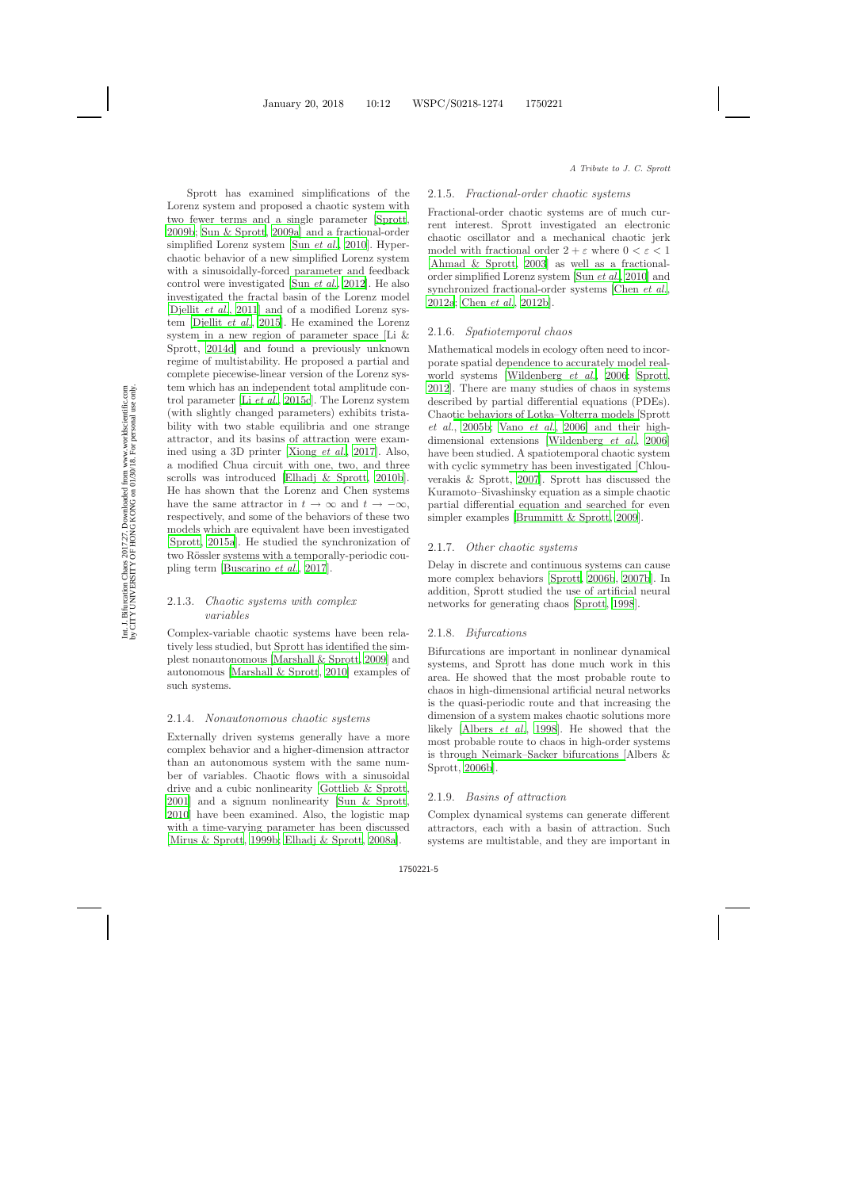Sprott has examined simplifications of the Lorenz system and proposed a chaotic system with two fewer terms and a single parameter [\[Sprott](#page-12-16), [2009b](#page-12-16); [Sun & Sprott](#page-12-17), [2009a](#page-12-17)] and a fractional-order simplified Lorenz system [Sun *[et al.](#page-12-18)*, [2010](#page-12-18)]. Hyperchaotic behavior of a new simplified Lorenz system with a sinusoidally-forced parameter and feedback control were investigated [Sun *[et al.](#page-12-19)*, [2012](#page-12-19)]. He also investigated the fractal basin of the Lorenz model [\[Djellit](#page-8-21) *et al.*, [2011](#page-8-21)] and of a modified Lorenz system [\[Djellit](#page-8-22) *et al.*, [2015](#page-8-22)]. He examined the Lorenz syste[m in a new region of parameter space \[](#page-10-21)Li & Sprott, [2014d](#page-10-21)] and found a previously unknown regime of multistability. He proposed a partial and complete piecewise-linear version of the Lorenz system which has an independent total amplitude control parameter [Li *[et al.](#page-10-22)*, [2015c](#page-10-22)]. The Lorenz system (with slightly changed parameters) exhibits tristability with two stable equilibria and one strange attractor, and its basins of attraction were examined using a 3D printer [\[Xiong](#page-13-5) *et al.*, [2017](#page-13-5)]. Also, a modified Chua circuit with one, two, and three scrolls was introduced [\[Elhadj & Sprott](#page-8-23), [2010b](#page-8-23)]. He has shown that the Lorenz and Chen systems have the same attractor in  $t \to \infty$  and  $t \to -\infty$ , respectively, and some of the behaviors of these two models which are equivalent have been investigated [\[Sprott](#page-12-20), [2015a](#page-12-20)]. He studied the synchronization of two Rössler systems with a temporally-periodic coupling term [\[Buscarino](#page-7-8) *et al.*, [2017](#page-7-8)].

## 2.1.3. *Chaotic systems with complex variables*

Complex-variable chaotic systems have been relatively less studied, but Sprott has identified the simplest nonautonomous [\[Marshall & Sprott](#page-10-23), [2009](#page-10-23)] and autonomous [\[Marshall & Sprott](#page-10-24), [2010](#page-10-24)] examples of such systems.

### 2.1.4. *Nonautonomous chaotic systems*

Externally driven systems generally have a more complex behavior and a higher-dimension attractor than an autonomous system with the same number of variables. Chaotic flows with a sinusoidal drive and a cubic nonlinearity [\[Gottlieb & Sprott](#page-9-18), [2001](#page-9-18)] and a signum nonlinearity [\[Sun & Sprott](#page-12-21), [2010](#page-12-21)] have been examined. Also, the logistic map with a time-varying parameter has been discussed [\[Mirus & Sprott](#page-11-17), [1999b](#page-11-17); [Elhadj & Sprott](#page-8-24), [2008a](#page-8-24)].

#### 2.1.5. *Fractional-order chaotic systems*

Fractional-order chaotic systems are of much current interest. Sprott investigated an electronic chaotic oscillator and a mechanical chaotic jerk model with fractional order  $2 + \varepsilon$  where  $0 < \varepsilon < 1$ [\[Ahmad & Sprott](#page-7-9), [2003](#page-7-9)] as well as a fractionalorder simplified Lorenz system [Sun *[et al.](#page-12-18)*, [2010](#page-12-18)] and synchronized fractional-order systems [\[Chen](#page-8-25) *et al.*, [2012a](#page-8-25); [Chen](#page-8-26) *et al.*, [2012b](#page-8-26)].

#### 2.1.6. *Spatiotemporal chaos*

Mathematical models in ecology often need to incorporate spatial dependence to accurately model realworld systems [\[Wildenberg](#page-13-6) *et al.*, [2006](#page-13-6); [Sprott](#page-12-22), [2012](#page-12-22)]. There are many studies of chaos in systems described by partial differential equations (PDEs). Chao[tic behaviors of Lotka–Volterra models \[](#page-12-23)Sprott *et al.*, [2005b](#page-12-23); [Vano](#page-13-7) *et al.*, [2006](#page-13-7)] and their highdimensional extensions [\[Wildenberg](#page-13-6) *et al.*, [2006](#page-13-6)] have been studied. A spatiotemporal chaotic system with cyclic sym[metry has been investigated \[](#page-8-27)Chlouverakis & Sprott, [2007](#page-8-27)]. Sprott has discussed the Kuramoto–Sivashinsky equation as a simple chaotic partial differential equation and searched for even simpler examples [\[Brummitt & Sprott](#page-7-10), [2009](#page-7-10)].

#### 2.1.7. *Other chaotic systems*

Delay in discrete and continuous systems can cause more complex behaviors [\[Sprott](#page-12-24), [2006b](#page-12-24), [2007b](#page-12-25)]. In addition, Sprott studied the use of artificial neural networks for generating chaos [\[Sprott](#page-11-18), [1998](#page-11-18)].

#### 2.1.8. *Bifurcations*

Bifurcations are important in nonlinear dynamical systems, and Sprott has done much work in this area. He showed that the most probable route to chaos in high-dimensional artificial neural networks is the quasi-periodic route and that increasing the dimension of a system makes chaotic solutions more likely [\[Albers](#page-7-11) *et al.*, [1998](#page-7-11)]. He showed that the most probable route to chaos in high-order systems is thr[ough Neimark–Sacker bifurcations \[](#page-7-12)Albers & Sprott, [2006b](#page-7-12)].

#### 2.1.9. *Basins of attraction*

Complex dynamical systems can generate different attractors, each with a basin of attraction. Such systems are multistable, and they are important in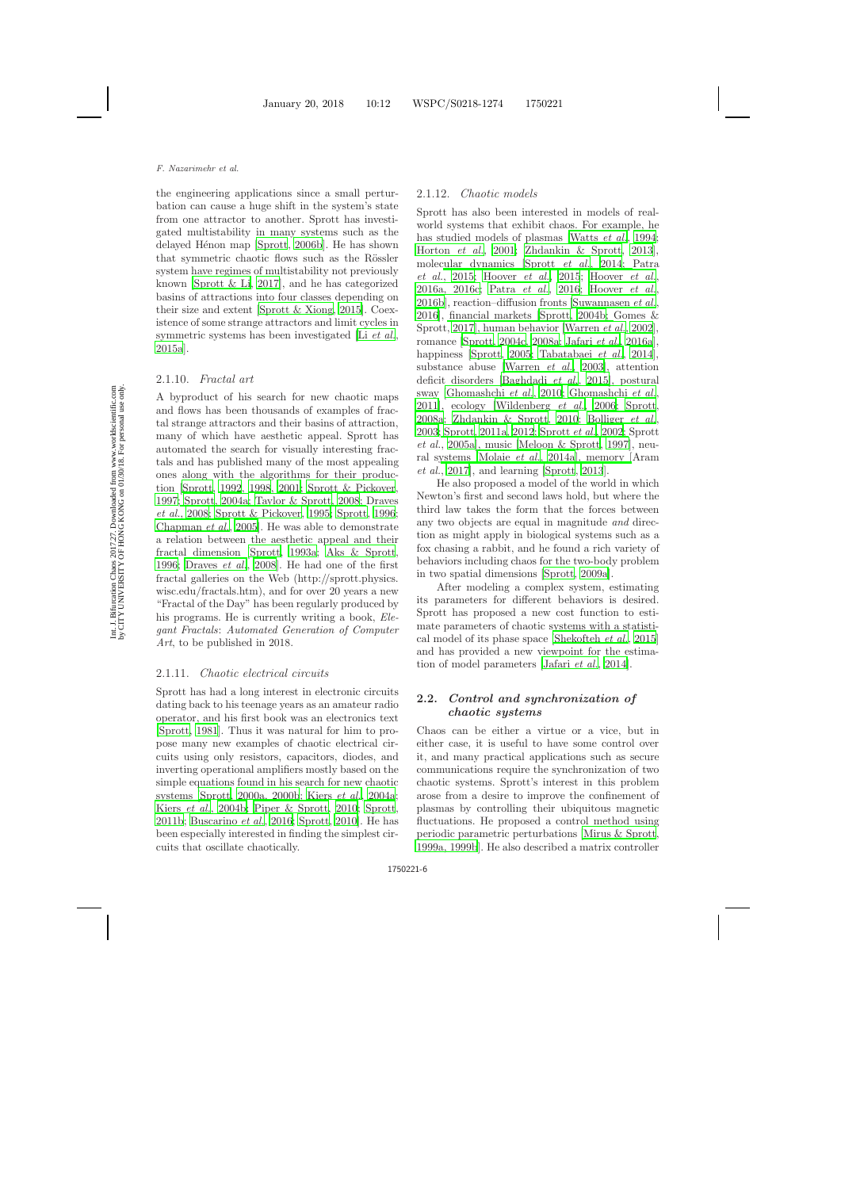the engineering applications since a small perturbation can cause a huge shift in the system's state from one attractor to another. Sprott has investigated multistability in many systems such as the delayed Hénon map [\[Sprott](#page-12-26), [2006b](#page-12-26)]. He has shown that symmetric chaotic flows such as the Rössler system have regimes of multistability not previously known [\[Sprott & Li](#page-12-27), [2017\]](#page-12-27), and he has categorized basins of attractions into four classes depending on their size and extent [\[Sprott & Xiong](#page-12-28), [2015\]](#page-12-28). Coexistence of some strange attractors and limit cycles in symmetric systems has been investigated [Li *[et al.](#page-10-25)*, [2015a](#page-10-25)].

### 2.1.10. *Fractal art*

A byproduct of his search for new chaotic maps and flows has been thousands of examples of fractal strange attractors and their basins of attraction, many of which have aesthetic appeal. Sprott has automated the search for visually interesting fractals and has published many of the most appealing ones along with the algorithms for their production [\[Sprott](#page-11-19), [1992](#page-11-19), [1998](#page-11-20), [2001;](#page-11-21) [Sprott & Pickover](#page-11-22), [1997;](#page-11-22) [Sprott](#page-12-29), [2004a](#page-12-29)[;](#page-8-28) [Taylor & Sprott](#page-13-8), [2008](#page-13-8); Draves *et al.*, [2008;](#page-8-28) [Sprott & Pickover](#page-11-23), [1995;](#page-11-23) [Sprott](#page-11-24), [1996](#page-11-24); [Chapman](#page-8-29) *et al.*, [2005\]](#page-8-29). He was able to demonstrate a relation between the aesthetic appeal and their fractal dimension [\[Sprott](#page-11-6), [1993a](#page-11-6); [Aks & Sprott](#page-7-13), [1996;](#page-7-13) [Draves](#page-8-28) *et al.*, [2008\]](#page-8-28). He had one of the first fractal galleries on the Web (http://sprott.physics. wisc.edu/fractals.htm), and for over 20 years a new "Fractal of the Day" has been regularly produced by his programs. He is currently writing a book, *Elegant Fractals*: *Automated Generation of Computer Art*, to be published in 2018.

#### 2.1.11. *Chaotic electrical circuits*

Sprott has had a long interest in electronic circuits dating back to his teenage years as an amateur radio operator, and his first book was an electronics text [\[Sprott](#page-11-25), [1981](#page-11-25)]. Thus it was natural for him to propose many new examples of chaotic electrical circuits using only resistors, capacitors, diodes, and inverting operational amplifiers mostly based on the simple equations found in his search for new chaotic systems [\[Sprott](#page-11-26), [2000a, 2000b](#page-11-26); [Kiers](#page-9-19) *et al.*, [2004a](#page-9-19); Kiers *[et al.](#page-9-20)*, [2004b;](#page-9-20) [Piper & Sprott](#page-11-27), [2010](#page-11-27); [Sprott](#page-12-30), [2011b](#page-12-30); [Buscarino](#page-7-14) *et al.*, [2016;](#page-7-14) [Sprott](#page-12-0), [2010\]](#page-12-0). He has been especially interested in finding the simplest circuits that oscillate chaotically.

#### 2.1.12. *Chaotic models*

Sprott has also been interested in models of realworld systems that exhibit chaos. For example, he has studied models of plasmas [\[Watts](#page-13-9) *et al.*, [1994](#page-13-9); [Horton](#page-9-21) *et al.*, [2001;](#page-9-21) [Zhdankin & Sprott](#page-13-10), [2013](#page-13-10)], mole[cular dynamics](#page-11-28) [\[Sprott](#page-12-31) *et al.*, [2014](#page-12-31); Patra *et al.*, [2015;](#page-11-28) [Hoover](#page-9-22) *et al.*, [2015](#page-9-22); [Hoover](#page-9-23) *et al.*, [2016a, 2016c;](#page-9-23) [Patra](#page-11-29) *et al.*, [2016;](#page-11-29) [Hoover](#page-9-24) *et al.*, [2016b](#page-9-24)], reaction–diffusion fronts [\[Suwannasen](#page-12-32) *et al.*, [2016](#page-12-32)], [financial markets](#page-9-25) [\[Sprott](#page-12-33), [2004b;](#page-12-33) Gomes & Sprott, [2017](#page-9-25)], human behavior [\[Warren](#page-13-11) *et al.*, [2002](#page-13-11)], romance [\[Sprott](#page-12-34), [2004c](#page-12-34), [2008a](#page-12-35); [Jafari](#page-9-26) *et al.*, [2016a](#page-9-26)], happiness [\[Sprott](#page-12-36), [2005;](#page-12-36) [Tabatabaei](#page-13-12) *et al.*, [2014](#page-13-12)], substance abuse [\[Warren](#page-13-13) *et al.*, [2003\]](#page-13-13), attention deficit disorders [\[Baghdadi](#page-7-6) *et al.*, [2015\]](#page-7-6), postural sway [\[Ghomashchi](#page-9-27) *et al.*, [2010;](#page-9-27) [Ghomashchi](#page-9-28) *et al.*, [2011](#page-9-28)], ecology [\[Wildenberg](#page-13-14) *et al.*, [2006;](#page-13-14) [Sprott](#page-12-35), [2008a](#page-12-35); [Zhdankin & Sprott](#page-13-15), [2010](#page-13-15); [Bolliger](#page-7-15) *et al.*, [2003;](#page-7-15) [Sprott](#page-12-37), [2011a](#page-12-37), [2012](#page-12-38)[;](#page-12-39) [Sprott](#page-11-30) *et al.*, [2002](#page-11-30); Sprott *et al.*, [2005a\]](#page-12-39), music [\[Meloon & Sprott](#page-11-31), [1997\]](#page-11-31), neural systems [\[Molaie](#page-11-32) *et al.*, [2014a](#page-11-32)[\], memory \[](#page-7-16)Aram *et al.*, [2017\]](#page-7-16), and learning [\[Sprott](#page-12-40), [2013](#page-12-40)].

He also proposed a model of the world in which Newton's first and second laws hold, but where the third law takes the form that the forces between any two objects are equal in magnitude *and* direction as might apply in biological systems such as a fox chasing a rabbit, and he found a rich variety of behaviors including chaos for the two-body problem in two spatial dimensions [\[Sprott](#page-12-41), [2009a\]](#page-12-41).

After modeling a complex system, estimating its parameters for different behaviors is desired. Sprott has proposed a new cost function to estimate parameters of chaotic systems with a statistical model of its phase space [\[Shekofteh](#page-11-33) *et al.*, [2015](#page-11-33)] and has provided a new viewpoint for the estimation of model parameters [\[Jafari](#page-9-29) *et al.*, [2014\]](#page-9-29).

## **2.2.** *Control and synchronization of chaotic systems*

Chaos can be either a virtue or a vice, but in either case, it is useful to have some control over it, and many practical applications such as secure communications require the synchronization of two chaotic systems. Sprott's interest in this problem arose from a desire to improve the confinement of plasmas by controlling their ubiquitous magnetic fluctuations. He proposed a control method using periodic parametric perturbations [\[Mirus & Sprott](#page-11-34), [1999a, 1999b](#page-11-34)]. He also described a matrix controller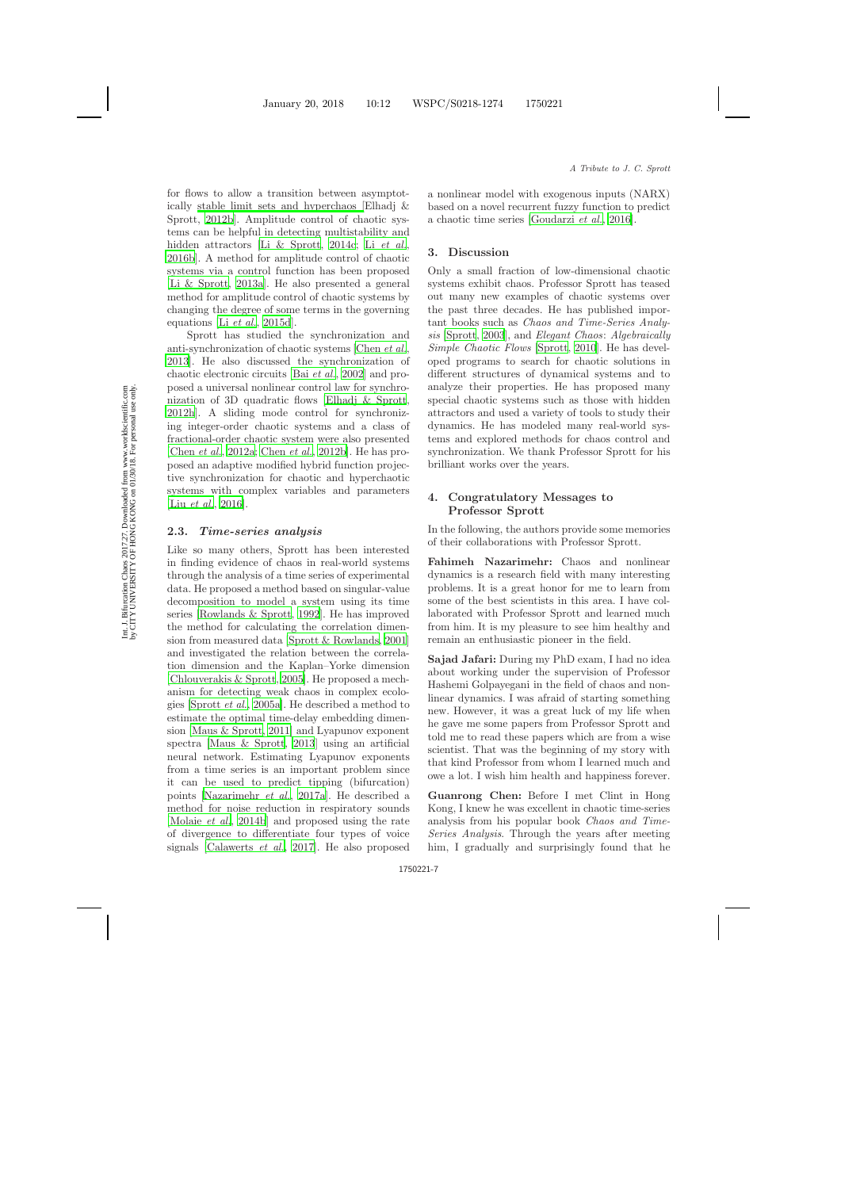for flows to allow a transition between asymptotically [stable limit sets and hyperchaos \[](#page-8-30)Elhadj & Sprott, [2012b](#page-8-30)]. Amplitude control of chaotic systems can be helpful in detecting multistability and hidden attractors [\[Li & Sprott](#page-10-26), [2014c](#page-10-26); Li *[et al.](#page-10-27)*, [2016b](#page-10-27)]. A method for amplitude control of chaotic systems via a control function has been proposed [\[Li & Sprott](#page-10-28), [2013a](#page-10-28)]. He also presented a general method for amplitude control of chaotic systems by changing the degree of some terms in the governing equations [Li *[et al.](#page-10-29)*, [2015d](#page-10-29)].

Sprott has studied the synchronization and anti-synchronization of chaotic systems [\[Chen](#page-8-31) *et al.*, [2013](#page-8-31)]. He also discussed the synchronization of chaotic electronic circuits [Bai *[et al.](#page-7-17)*, [2002](#page-7-17)] and proposed a universal nonlinear control law for synchronization of 3D quadratic flows [\[Elhadj & Sprott](#page-8-32), [2012h](#page-8-32)]. A sliding mode control for synchronizing integer-order chaotic systems and a class of fractional-order chaotic system were also presented [\[Chen](#page-8-25) *et al.*, [2012a](#page-8-25); [Chen](#page-8-26) *et al.*, [2012b](#page-8-26)]. He has proposed an adaptive modified hybrid function projective synchronization for chaotic and hyperchaotic systems with complex variables and parameters [Liu *[et al.](#page-10-30)*, [2016](#page-10-30)].

## **2.3.** *Time-series analysis*

Like so many others, Sprott has been interested in finding evidence of chaos in real-world systems through the analysis of a time series of experimental data. He proposed a method based on singular-value decomposition to model a system using its time series [\[Rowlands & Sprott](#page-11-35), [1992](#page-11-35)]. He has improved the method for calculating the correlation dimension from measured data [\[Sprott & Rowlands](#page-11-36), [2001](#page-11-36)] and investigated the relation between the correlation dimension and the Kaplan–Yorke dimension [\[Chlouverakis & Sprott](#page-8-33), [2005](#page-8-33)]. He proposed a mechanism for detecting weak chaos in complex ecologies [\[Sprott](#page-12-42) *et al.*, [2005a](#page-12-42)]. He described a method to estimate the optimal time-delay embedding dimension [\[Maus & Sprott](#page-10-31), [2011](#page-10-31)] and Lyapunov exponent spectra [\[Maus & Sprott](#page-11-37), [2013](#page-11-37)] using an artificial neural network. Estimating Lyapunov exponents from a time series is an important problem since it can be used to predict tipping (bifurcation) points [\[Nazarimehr](#page-11-38) *et al.*, [2017a](#page-11-38)]. He described a method for noise reduction in respiratory sounds [\[Molaie](#page-11-39) *et al.*, [2014b](#page-11-39)] and proposed using the rate of divergence to differentiate four types of voice signals [\[Calawerts](#page-7-18) *et al.*, [2017](#page-7-18)]. He also proposed a nonlinear model with exogenous inputs (NARX) based on a novel recurrent fuzzy function to predict a chaotic time series [\[Goudarzi](#page-9-30) *et al.*, [2016](#page-9-30)].

# **3. Discussion**

Only a small fraction of low-dimensional chaotic systems exhibit chaos. Professor Sprott has teased out many new examples of chaotic systems over the past three decades. He has published important books such as *Chaos and Time-Series Analysis* [\[Sprott](#page-12-43), [2003](#page-12-43)], and *Elegant Chaos*: *Algebraically Simple Chaotic Flows* [\[Sprott](#page-12-5), [2010](#page-12-5)]. He has developed programs to search for chaotic solutions in different structures of dynamical systems and to analyze their properties. He has proposed many special chaotic systems such as those with hidden attractors and used a variety of tools to study their dynamics. He has modeled many real-world systems and explored methods for chaos control and synchronization. We thank Professor Sprott for his brilliant works over the years.

# **4. Congratulatory Messages to Professor Sprott**

In the following, the authors provide some memories of their collaborations with Professor Sprott.

**Fahimeh Nazarimehr:** Chaos and nonlinear dynamics is a research field with many interesting problems. It is a great honor for me to learn from some of the best scientists in this area. I have collaborated with Professor Sprott and learned much from him. It is my pleasure to see him healthy and remain an enthusiastic pioneer in the field.

**Sajad Jafari:** During my PhD exam, I had no idea about working under the supervision of Professor Hashemi Golpayegani in the field of chaos and nonlinear dynamics. I was afraid of starting something new. However, it was a great luck of my life when he gave me some papers from Professor Sprott and told me to read these papers which are from a wise scientist. That was the beginning of my story with that kind Professor from whom I learned much and owe a lot. I wish him health and happiness forever.

**Guanrong Chen:** Before I met Clint in Hong Kong, I knew he was excellent in chaotic time-series analysis from his popular book *Chaos and Time-Series Analysis*. Through the years after meeting him, I gradually and surprisingly found that he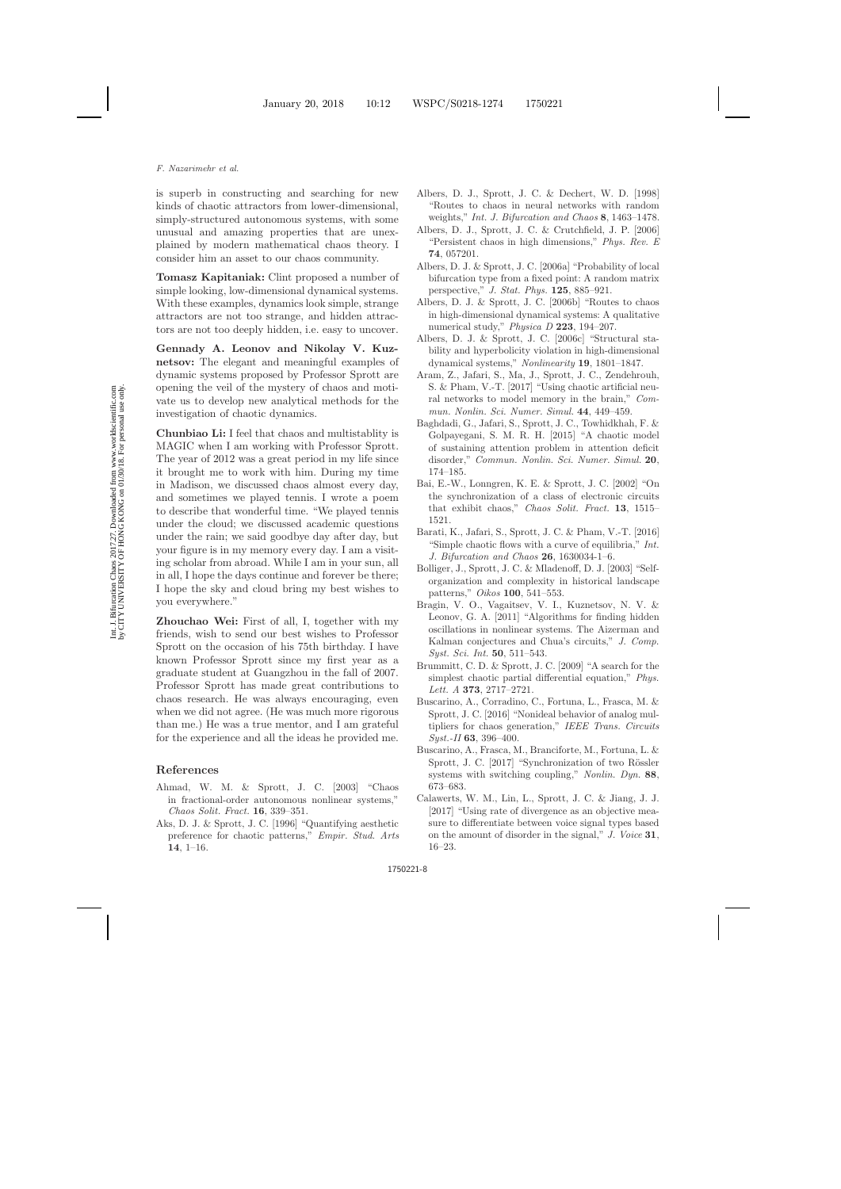is superb in constructing and searching for new kinds of chaotic attractors from lower-dimensional, simply-structured autonomous systems, with some unusual and amazing properties that are unexplained by modern mathematical chaos theory. I consider him an asset to our chaos community.

**Tomasz Kapitaniak:** Clint proposed a number of simple looking, low-dimensional dynamical systems. With these examples, dynamics look simple, strange attractors are not too strange, and hidden attractors are not too deeply hidden, i.e. easy to uncover.

**Gennady A. Leonov and Nikolay V. Kuznetsov:** The elegant and meaningful examples of dynamic systems proposed by Professor Sprott are opening the veil of the mystery of chaos and motivate us to develop new analytical methods for the investigation of chaotic dynamics.

**Chunbiao Li:** I feel that chaos and multistablity is MAGIC when I am working with Professor Sprott. The year of 2012 was a great period in my life since it brought me to work with him. During my time in Madison, we discussed chaos almost every day, and sometimes we played tennis. I wrote a poem to describe that wonderful time. "We played tennis under the cloud; we discussed academic questions under the rain; we said goodbye day after day, but your figure is in my memory every day. I am a visiting scholar from abroad. While I am in your sun, all in all, I hope the days continue and forever be there; I hope the sky and cloud bring my best wishes to you everywhere."

**Zhouchao Wei:** First of all, I, together with my friends, wish to send our best wishes to Professor Sprott on the occasion of his 75th birthday. I have known Professor Sprott since my first year as a graduate student at Guangzhou in the fall of 2007. Professor Sprott has made great contributions to chaos research. He was always encouraging, even when we did not agree. (He was much more rigorous than me.) He was a true mentor, and I am grateful for the experience and all the ideas he provided me.

### <span id="page-7-0"></span>**References**

- <span id="page-7-9"></span>Ahmad, W. M. & Sprott, J. C. [2003] "Chaos in fractional-order autonomous nonlinear systems," *Chaos Solit. Fract.* **16**, 339–351.
- <span id="page-7-13"></span>Aks, D. J. & Sprott, J. C. [1996] "Quantifying aesthetic preference for chaotic patterns," *Empir. Stud. Arts* **14**, 1–16.
- <span id="page-7-11"></span>Albers, D. J., Sprott, J. C. & Dechert, W. D. [1998] "Routes to chaos in neural networks with random weights," *Int. J. Bifurcation and Chaos* **8**, 1463–1478.
- <span id="page-7-3"></span><span id="page-7-2"></span>Albers, D. J., Sprott, J. C. & Crutchfield, J. P. [2006] "Persistent chaos in high dimensions," *Phys. Rev. E* **74**, 057201.
- <span id="page-7-5"></span>Albers, D. J. & Sprott, J. C. [2006a] "Probability of local bifurcation type from a fixed point: A random matrix perspective," *J. Stat. Phys.* **125**, 885–921.
- <span id="page-7-12"></span>Albers, D. J. & Sprott, J. C. [2006b] "Routes to chaos in high-dimensional dynamical systems: A qualitative numerical study," *Physica D* **223**, 194–207.
- <span id="page-7-4"></span>Albers, D. J. & Sprott, J. C. [2006c] "Structural stability and hyperbolicity violation in high-dimensional dynamical systems," *Nonlinearity* **19**, 1801–1847.
- <span id="page-7-16"></span>Aram, Z., Jafari, S., Ma, J., Sprott, J. C., Zendehrouh, S. & Pham, V.-T. [2017] "Using chaotic artificial neural networks to model memory in the brain," *Commun. Nonlin. Sci. Numer. Simul.* **44**, 449–459.
- <span id="page-7-6"></span>Baghdadi, G., Jafari, S., Sprott, J. C., Towhidkhah, F. & Golpayegani, S. M. R. H. [2015] "A chaotic model of sustaining attention problem in attention deficit disorder," *Commun. Nonlin. Sci. Numer. Simul.* **20**, 174–185.
- <span id="page-7-17"></span>Bai, E.-W., Lonngren, K. E. & Sprott, J. C. [2002] "On the synchronization of a class of electronic circuits that exhibit chaos," *Chaos Solit. Fract.* **13**, 1515– 1521.
- <span id="page-7-7"></span>Barati, K., Jafari, S., Sprott, J. C. & Pham, V.-T. [2016] "Simple chaotic flows with a curve of equilibria," *Int. J. Bifurcation and Chaos* **26**, 1630034-1–6.
- <span id="page-7-15"></span>Bolliger, J., Sprott, J. C. & Mladenoff, D. J. [2003] "Selforganization and complexity in historical landscape patterns," *Oikos* **100**, 541–553.
- <span id="page-7-1"></span>Bragin, V. O., Vagaitsev, V. I., Kuznetsov, N. V. & Leonov, G. A. [2011] "Algorithms for finding hidden oscillations in nonlinear systems. The Aizerman and Kalman conjectures and Chua's circuits," *J. Comp. Syst. Sci. Int.* **50**, 511–543.
- <span id="page-7-10"></span>Brummitt, C. D. & Sprott, J. C. [2009] "A search for the simplest chaotic partial differential equation," *Phys. Lett. A* **373**, 2717–2721.
- <span id="page-7-14"></span>Buscarino, A., Corradino, C., Fortuna, L., Frasca, M. & Sprott, J. C. [2016] "Nonideal behavior of analog multipliers for chaos generation," *IEEE Trans. Circuits Syst.-II* **63**, 396–400.
- <span id="page-7-8"></span>Buscarino, A., Frasca, M., Branciforte, M., Fortuna, L. & Sprott, J. C. [2017] "Synchronization of two Rössler systems with switching coupling," *Nonlin. Dyn.* **88**, 673–683.
- <span id="page-7-18"></span>Calawerts, W. M., Lin, L., Sprott, J. C. & Jiang, J. J. [2017] "Using rate of divergence as an objective measure to differentiate between voice signal types based on the amount of disorder in the signal," *J. Voice* **31**, 16–23.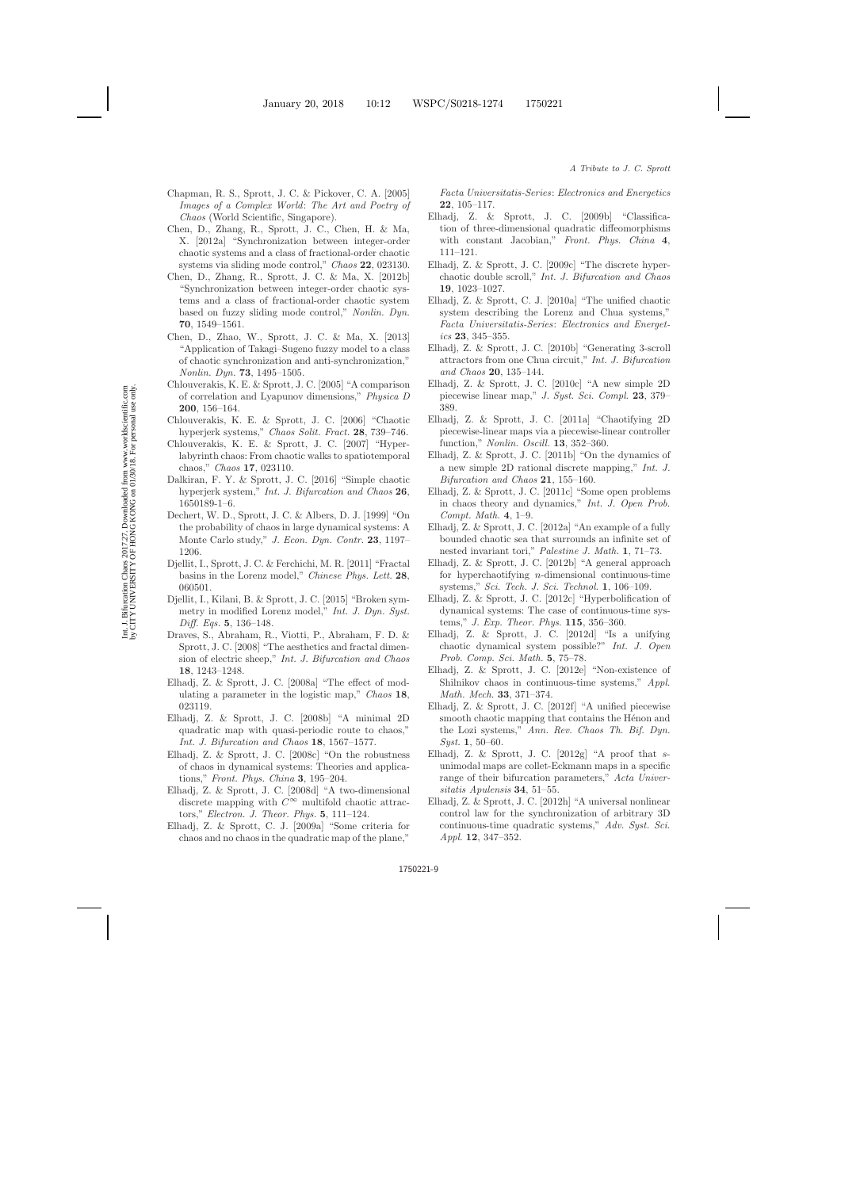- <span id="page-8-29"></span>Chapman, R. S., Sprott, J. C. & Pickover, C. A. [2005] *Images of a Complex World*: *The Art and Poetry of Chaos* (World Scientific, Singapore).
- <span id="page-8-25"></span>Chen, D., Zhang, R., Sprott, J. C., Chen, H. & Ma, X. [2012a] "Synchronization between integer-order chaotic systems and a class of fractional-order chaotic systems via sliding mode control," *Chaos* **22**, 023130.
- <span id="page-8-26"></span>Chen, D., Zhang, R., Sprott, J. C. & Ma, X. [2012b] "Synchronization between integer-order chaotic systems and a class of fractional-order chaotic system based on fuzzy sliding mode control," *Nonlin. Dyn.* **70**, 1549–1561.
- <span id="page-8-31"></span>Chen, D., Zhao, W., Sprott, J. C. & Ma, X. [2013] "Application of Takagi–Sugeno fuzzy model to a class of chaotic synchronization and anti-synchronization," *Nonlin. Dyn.* **73**, 1495–1505.
- <span id="page-8-33"></span>Chlouverakis, K. E. & Sprott, J. C. [2005] "A comparison of correlation and Lyapunov dimensions," *Physica D* **200**, 156–164.
- <span id="page-8-16"></span>Chlouverakis, K. E. & Sprott, J. C. [2006] "Chaotic hyperjerk systems," *Chaos Solit. Fract.* **28**, 739–746.
- <span id="page-8-27"></span><span id="page-8-2"></span>Chlouverakis, K. E. & Sprott, J. C. [2007] "Hyperlabyrinth chaos: From chaotic walks to spatiotemporal chaos," *Chaos* **17**, 023110.
- <span id="page-8-20"></span>Dalkiran, F. Y. & Sprott, J. C. [2016] "Simple chaotic hyperjerk system," *Int. J. Bifurcation and Chaos* **26**, 1650189-1–6.
- <span id="page-8-1"></span>Dechert, W. D., Sprott, J. C. & Albers, D. J. [1999] "On the probability of chaos in large dynamical systems: A Monte Carlo study," *J. Econ. Dyn. Contr.* **23**, 1197– 1206.
- <span id="page-8-21"></span>Djellit, I., Sprott, J. C. & Ferchichi, M. R. [2011] "Fractal basins in the Lorenz model," *Chinese Phys. Lett.* **28**, 060501.
- <span id="page-8-22"></span>Djellit, I., Kilani, B. & Sprott, J. C. [2015] "Broken symmetry in modified Lorenz model," *Int. J. Dyn. Syst. Diff. Eqs.* **5**, 136–148.
- <span id="page-8-28"></span>Draves, S., Abraham, R., Viotti, P., Abraham, F. D. & Sprott, J. C. [2008] "The aesthetics and fractal dimension of electric sheep," *Int. J. Bifurcation and Chaos* **18**, 1243–1248.
- <span id="page-8-24"></span>Elhadj, Z. & Sprott, J. C. [2008a] "The effect of modulating a parameter in the logistic map," *Chaos* **18**, 023119.
- <span id="page-8-5"></span>Elhadj, Z. & Sprott, J. C. [2008b] "A minimal 2D quadratic map with quasi-periodic route to chaos," *Int. J. Bifurcation and Chaos* **18**, 1567–1577.
- <span id="page-8-7"></span><span id="page-8-3"></span>Elhadj, Z. & Sprott, J. C. [2008c] "On the robustness of chaos in dynamical systems: Theories and applications," *Front. Phys. China* **3**, 195–204.
- Elhadj, Z. & Sprott, J. C. [2008d] "A two-dimensional discrete mapping with  $C^{\infty}$  multifold chaotic attractors," *Electron. J. Theor. Phys.* **5**, 111–124.
- <span id="page-8-12"></span>Elhadj, Z. & Sprott, C. J. [2009a] "Some criteria for chaos and no chaos in the quadratic map of the plane,"

*Facta Universitatis-Series*: *Electronics and Energetics* **22**, 105–117.

- <span id="page-8-17"></span>Elhadj, Z. & Sprott, J. C. [2009b] "Classification of three-dimensional quadratic diffeomorphisms with constant Jacobian," *Front. Phys. China* **4**, 111–121.
- <span id="page-8-11"></span>Elhadj, Z. & Sprott, J. C. [2009c] "The discrete hyperchaotic double scroll," *Int. J. Bifurcation and Chaos* **19**, 1023–1027.
- <span id="page-8-15"></span>Elhadj, Z. & Sprott, C. J. [2010a] "The unified chaotic system describing the Lorenz and Chua systems," *Facta Universitatis-Series*: *Electronics and Energetics* **23**, 345–355.
- <span id="page-8-23"></span>Elhadj, Z. & Sprott, J. C. [2010b] "Generating 3-scroll attractors from one Chua circuit," *Int. J. Bifurcation and Chaos* **20**, 135–144.
- <span id="page-8-6"></span>Elhadj, Z. & Sprott, J. C. [2010c] "A new simple 2D piecewise linear map," *J. Syst. Sci. Compl.* **23**, 379– 389.
- <span id="page-8-9"></span>Elhadj, Z. & Sprott, J. C. [2011a] "Chaotifying 2D piecewise-linear maps via a piecewise-linear controller function," *Nonlin. Oscill.* **13**, 352–360.
- <span id="page-8-8"></span>Elhadj, Z. & Sprott, J. C. [2011b] "On the dynamics of a new simple 2D rational discrete mapping," *Int. J. Bifurcation and Chaos* **21**, 155–160.
- <span id="page-8-4"></span>Elhadj, Z. & Sprott, J. C. [2011c] "Some open problems in chaos theory and dynamics," *Int. J. Open Prob. Compt. Math.* **4**, 1–9.
- <span id="page-8-13"></span>Elhadj, Z. & Sprott, J. C. [2012a] "An example of a fully bounded chaotic sea that surrounds an infinite set of nested invariant tori," *Palestine J. Math.* **1**, 71–73.
- <span id="page-8-30"></span>Elhadj, Z. & Sprott, J. C. [2012b] "A general approach for hyperchaotifying  $n$ -dimensional continuous-time systems," *Sci. Tech. J. Sci. Technol.* **1**, 106–109.
- <span id="page-8-19"></span>Elhadj, Z. & Sprott, J. C. [2012c] "Hyperbolification of dynamical systems: The case of continuous-time systems," *J. Exp. Theor. Phys.* **115**, 356–360.
- <span id="page-8-0"></span>Elhadj, Z. & Sprott, J. C. [2012d] "Is a unifying chaotic dynamical system possible?" *Int. J. Open Prob. Comp. Sci. Math.* **5**, 75–78.
- <span id="page-8-18"></span>Elhadj, Z. & Sprott, J. C. [2012e] "Non-existence of Shilnikov chaos in continuous-time systems," *Appl. Math. Mech.* **33**, 371–374.
- <span id="page-8-10"></span>Elhadj, Z. & Sprott, J. C. [2012f] "A unified piecewise smooth chaotic mapping that contains the Hénon and the Lozi systems," *Ann. Rev. Chaos Th. Bif. Dyn. Syst.* **1**, 50–60.
- <span id="page-8-14"></span>Elhadj, Z. & Sprott, J. C. [2012g] "A proof that sunimodal maps are collet-Eckmann maps in a specific range of their bifurcation parameters," *Acta Universitatis Apulensis* **34**, 51–55.
- <span id="page-8-32"></span>Elhadj, Z. & Sprott, J. C. [2012h] "A universal nonlinear control law for the synchronization of arbitrary 3D continuous-time quadratic systems," *Adv. Syst. Sci. Appl.* **12**, 347–352.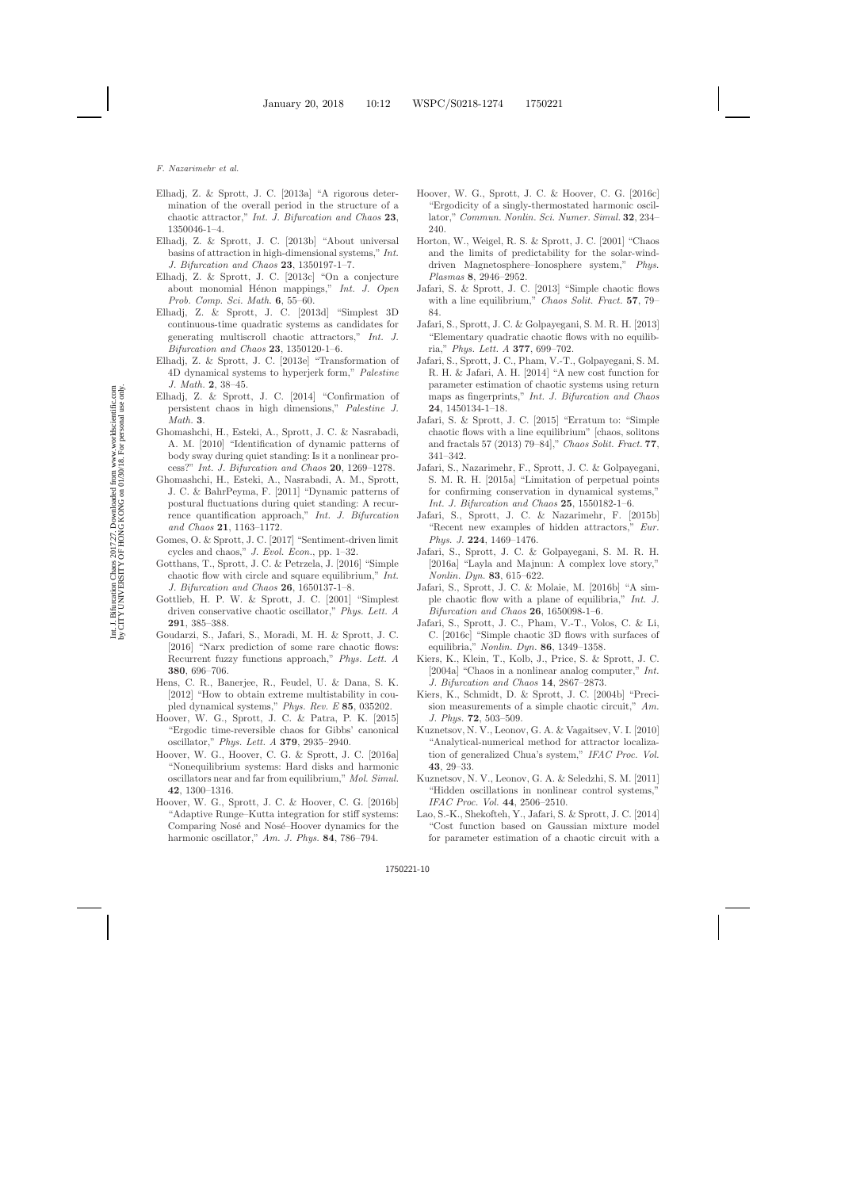- <span id="page-9-4"></span>Elhadj, Z. & Sprott, J. C. [2013a] "A rigorous determination of the overall period in the structure of a chaotic attractor," *Int. J. Bifurcation and Chaos* **23**, 1350046-1–4.
- <span id="page-9-3"></span>Elhadj, Z. & Sprott, J. C. [2013b] "About universal basins of attraction in high-dimensional systems," *Int. J. Bifurcation and Chaos* **23**, 1350197-1–7.
- <span id="page-9-5"></span>Elhadj, Z. & Sprott, J. C. [2013c] "On a conjecture about monomial H´enon mappings," *Int. J. Open Prob. Comp. Sci. Math.* **6**, 55–60.
- <span id="page-9-7"></span>Elhadj, Z. & Sprott, J. C. [2013d] "Simplest 3D continuous-time quadratic systems as candidates for generating multiscroll chaotic attractors," *Int. J. Bifurcation and Chaos* **23**, 1350120-1–6.
- <span id="page-9-6"></span>Elhadj, Z. & Sprott, J. C. [2013e] "Transformation of 4D dynamical systems to hyperjerk form," *Palestine J. Math.* **2**, 38–45.
- <span id="page-9-2"></span>Elhadj, Z. & Sprott, J. C. [2014] "Confirmation of persistent chaos in high dimensions," *Palestine J. Math.* **3**.
- <span id="page-9-27"></span>Ghomashchi, H., Esteki, A., Sprott, J. C. & Nasrabadi, A. M. [2010] "Identification of dynamic patterns of body sway during quiet standing: Is it a nonlinear process?" *Int. J. Bifurcation and Chaos* **20**, 1269–1278.
- <span id="page-9-28"></span>Ghomashchi, H., Esteki, A., Nasrabadi, A. M., Sprott, J. C. & BahrPeyma, F. [2011] "Dynamic patterns of postural fluctuations during quiet standing: A recurrence quantification approach," *Int. J. Bifurcation and Chaos* **21**, 1163–1172.
- <span id="page-9-25"></span>Gomes, O. & Sprott, J. C. [2017] "Sentiment-driven limit cycles and chaos," *J. Evol. Econ.*, pp. 1–32.
- <span id="page-9-14"></span>Gotthans, T., Sprott, J. C. & Petrzela, J. [2016] "Simple chaotic flow with circle and square equilibrium," *Int. J. Bifurcation and Chaos* **26**, 1650137-1–8.
- <span id="page-9-18"></span>Gottlieb, H. P. W. & Sprott, J. C. [2001] "Simplest driven conservative chaotic oscillator," *Phys. Lett. A* **291**, 385–388.
- <span id="page-9-30"></span>Goudarzi, S., Jafari, S., Moradi, M. H. & Sprott, J. C. [2016] "Narx prediction of some rare chaotic flows: Recurrent fuzzy functions approach," *Phys. Lett. A* **380**, 696–706.
- <span id="page-9-15"></span>Hens, C. R., Banerjee, R., Feudel, U. & Dana, S. K. [2012] "How to obtain extreme multistability in coupled dynamical systems," *Phys. Rev. E* **85**, 035202.
- <span id="page-9-22"></span>Hoover, W. G., Sprott, J. C. & Patra, P. K. [2015] "Ergodic time-reversible chaos for Gibbs' canonical oscillator," *Phys. Lett. A* **379**, 2935–2940.
- <span id="page-9-23"></span>Hoover, W. G., Hoover, C. G. & Sprott, J. C. [2016a] "Nonequilibrium systems: Hard disks and harmonic oscillators near and far from equilibrium," *Mol. Simul.* **42**, 1300–1316.
- <span id="page-9-24"></span>Hoover, W. G., Sprott, J. C. & Hoover, C. G. [2016b] "Adaptive Runge–Kutta integration for stiff systems: Comparing Nosé and Nosé–Hoover dynamics for the harmonic oscillator," *Am. J. Phys.* **84**, 786–794.
- Hoover, W. G., Sprott, J. C. & Hoover, C. G. [2016c] "Ergodicity of a singly-thermostated harmonic oscillator," *Commun. Nonlin. Sci. Numer. Simul.* **32**, 234– 240.
- <span id="page-9-21"></span>Horton, W., Weigel, R. S. & Sprott, J. C. [2001] "Chaos and the limits of predictability for the solar-winddriven Magnetosphere–Ionosphere system," *Phys. Plasmas* **8**, 2946–2952.
- <span id="page-9-10"></span>Jafari, S. & Sprott, J. C. [2013] "Simple chaotic flows with a line equilibrium," *Chaos Solit. Fract.* **57**, 79– 84.
- <span id="page-9-8"></span>Jafari, S., Sprott, J. C. & Golpayegani, S. M. R. H. [2013] "Elementary quadratic chaotic flows with no equilibria," *Phys. Lett. A* **377**, 699–702.
- <span id="page-9-29"></span>Jafari, S., Sprott, J. C., Pham, V.-T., Golpayegani, S. M. R. H. & Jafari, A. H. [2014] "A new cost function for parameter estimation of chaotic systems using return maps as fingerprints," *Int. J. Bifurcation and Chaos* **24**, 1450134-1–18.
- <span id="page-9-11"></span>Jafari, S. & Sprott, J. C. [2015] "Erratum to: "Simple chaotic flows with a line equilibrium" [chaos, solitons and fractals 57 (2013) 79–84]," *Chaos Solit. Fract.* **77**, 341–342.
- <span id="page-9-17"></span>Jafari, S., Nazarimehr, F., Sprott, J. C. & Golpayegani, S. M. R. H. [2015a] "Limitation of perpetual points for confirming conservation in dynamical systems," *Int. J. Bifurcation and Chaos* **25**, 1550182-1–6.
- <span id="page-9-9"></span>Jafari, S., Sprott, J. C. & Nazarimehr, F. [2015b] "Recent new examples of hidden attractors," *Eur. Phys. J.* **224**, 1469–1476.
- <span id="page-9-26"></span>Jafari, S., Sprott, J. C. & Golpayegani, S. M. R. H. [2016a] "Layla and Majnun: A complex love story," *Nonlin. Dyn.* **83**, 615–622.
- <span id="page-9-12"></span>Jafari, S., Sprott, J. C. & Molaie, M. [2016b] "A simple chaotic flow with a plane of equilibria," *Int. J. Bifurcation and Chaos* **26**, 1650098-1–6.
- <span id="page-9-13"></span>Jafari, S., Sprott, J. C., Pham, V.-T., Volos, C. & Li, C. [2016c] "Simple chaotic 3D flows with surfaces of equilibria," *Nonlin. Dyn.* **86**, 1349–1358.
- <span id="page-9-19"></span>Kiers, K., Klein, T., Kolb, J., Price, S. & Sprott, J. C. [2004a] "Chaos in a nonlinear analog computer," *Int. J. Bifurcation and Chaos* **14**, 2867–2873.
- <span id="page-9-20"></span>Kiers, K., Schmidt, D. & Sprott, J. C. [2004b] "Precision measurements of a simple chaotic circuit," *Am. J. Phys.* **72**, 503–509.
- <span id="page-9-1"></span>Kuznetsov, N. V., Leonov, G. A. & Vagaitsev, V. I. [2010] "Analytical-numerical method for attractor localization of generalized Chua's system," *IFAC Proc. Vol.* **43**, 29–33.
- <span id="page-9-0"></span>Kuznetsov, N. V., Leonov, G. A. & Seledzhi, S. M. [2011] "Hidden oscillations in nonlinear control systems," *IFAC Proc. Vol.* **44**, 2506–2510.
- <span id="page-9-16"></span>Lao, S.-K., Shekofteh, Y., Jafari, S. & Sprott, J. C. [2014] "Cost function based on Gaussian mixture model for parameter estimation of a chaotic circuit with a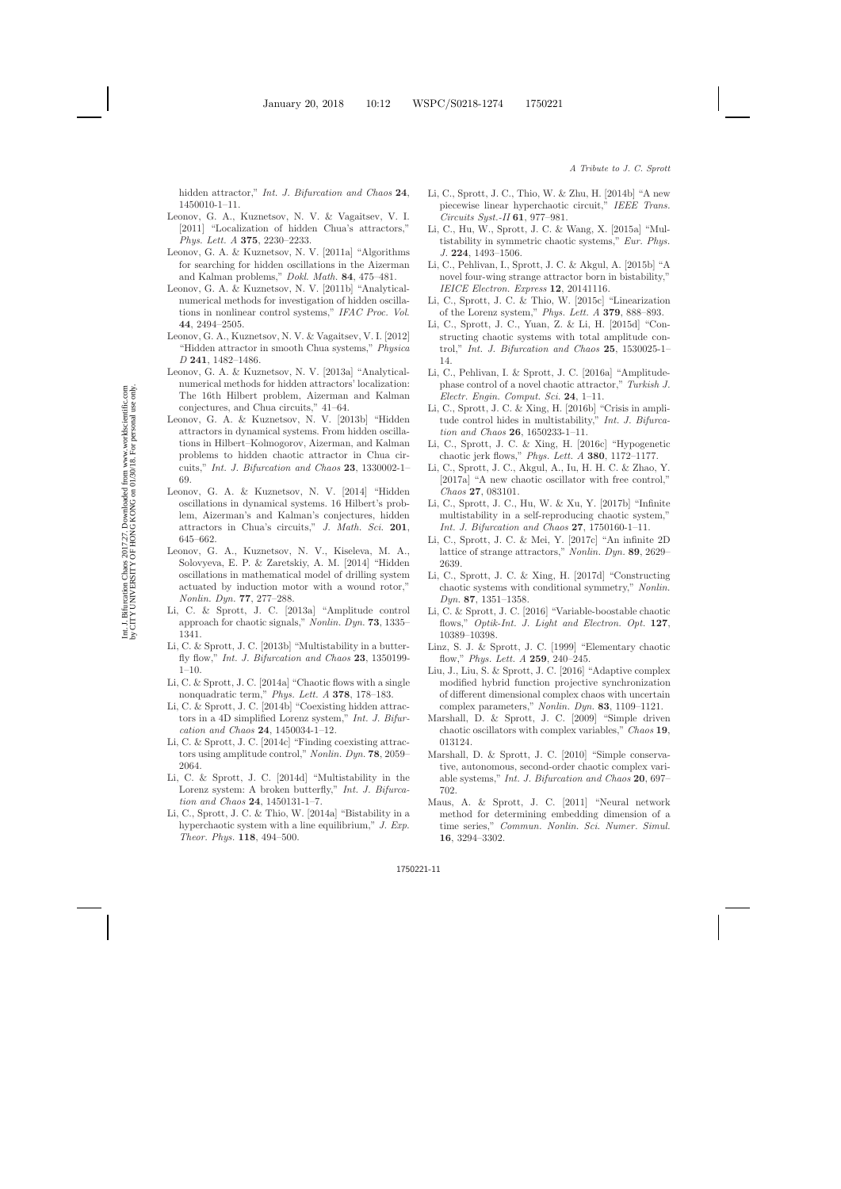hidden attractor," *Int. J. Bifurcation and Chaos* **24**, 1450010-1–11.

- <span id="page-10-4"></span>Leonov, G. A., Kuznetsov, N. V. & Vagaitsev, V. I. [2011] "Localization of hidden Chua's attractors," *Phys. Lett. A* **375**, 2230–2233.
- <span id="page-10-1"></span>Leonov, G. A. & Kuznetsov, N. V. [2011a] "Algorithms for searching for hidden oscillations in the Aizerman and Kalman problems," *Dokl. Math.* **84**, 475–481.
- Leonov, G. A. & Kuznetsov, N. V. [2011b] "Analyticalnumerical methods for investigation of hidden oscillations in nonlinear control systems," *IFAC Proc. Vol.* **44**, 2494–2505.
- <span id="page-10-5"></span>Leonov, G. A., Kuznetsov, N. V. & Vagaitsev, V. I. [2012] "Hidden attractor in smooth Chua systems," *Physica D* **241**, 1482–1486.
- <span id="page-10-6"></span>Leonov, G. A. & Kuznetsov, N. V. [2013a] "Analyticalnumerical methods for hidden attractors' localization: The 16th Hilbert problem, Aizerman and Kalman conjectures, and Chua circuits," 41–64.
- Leonov, G. A. & Kuznetsov, N. V. [2013b] "Hidden attractors in dynamical systems. From hidden oscillations in Hilbert–Kolmogorov, Aizerman, and Kalman problems to hidden chaotic attractor in Chua circuits," *Int. J. Bifurcation and Chaos* **23**, 1330002-1– 69.
- <span id="page-10-2"></span>Leonov, G. A. & Kuznetsov, N. V. [2014] "Hidden oscillations in dynamical systems. 16 Hilbert's problem, Aizerman's and Kalman's conjectures, hidden attractors in Chua's circuits," *J. Math. Sci.* **201**, 645–662.
- <span id="page-10-3"></span>Leonov, G. A., Kuznetsov, N. V., Kiseleva, M. A., Solovyeva, E. P. & Zaretskiy, A. M. [2014] "Hidden oscillations in mathematical model of drilling system actuated by induction motor with a wound rotor," *Nonlin. Dyn.* **77**, 277–288.
- <span id="page-10-28"></span>Li, C. & Sprott, J. C. [2013a] "Amplitude control approach for chaotic signals," *Nonlin. Dyn.* **73**, 1335– 1341.
- <span id="page-10-12"></span>Li, C. & Sprott, J. C. [2013b] "Multistability in a butterfly flow," *Int. J. Bifurcation and Chaos* **23**, 1350199- 1–10.
- <span id="page-10-13"></span>Li, C. & Sprott, J. C. [2014a] "Chaotic flows with a single nonquadratic term," *Phys. Lett. A* **378**, 178–183.
- <span id="page-10-9"></span>Li, C. & Sprott, J. C. [2014b] "Coexisting hidden attractors in a 4D simplified Lorenz system," *Int. J. Bifurcation and Chaos* **24**, 1450034-1–12.
- <span id="page-10-26"></span>Li, C. & Sprott, J. C. [2014c] "Finding coexisting attractors using amplitude control," *Nonlin. Dyn.* **78**, 2059– 2064.
- <span id="page-10-21"></span>Li, C. & Sprott, J. C. [2014d] "Multistability in the Lorenz system: A broken butterfly," *Int. J. Bifurcation and Chaos* **24**, 1450131-1–7.
- <span id="page-10-14"></span>Li, C., Sprott, J. C. & Thio, W. [2014a] "Bistability in a hyperchaotic system with a line equilibrium," *J. Exp. Theor. Phys.* **118**, 494–500.
- <span id="page-10-15"></span>Li, C., Sprott, J. C., Thio, W. & Zhu, H. [2014b] "A new piecewise linear hyperchaotic circuit," *IEEE Trans. Circuits Syst.-II* **61**, 977–981.
- <span id="page-10-25"></span>Li, C., Hu, W., Sprott, J. C. & Wang, X. [2015a] "Multistability in symmetric chaotic systems," *Eur. Phys. J.* **224**, 1493–1506.
- <span id="page-10-10"></span>Li, C., Pehlivan, I., Sprott, J. C. & Akgul, A. [2015b] "A novel four-wing strange attractor born in bistability," *IEICE Electron. Express* **12**, 20141116.
- <span id="page-10-22"></span>Li, C., Sprott, J. C. & Thio, W. [2015c] "Linearization of the Lorenz system," *Phys. Lett. A* **379**, 888–893.
- <span id="page-10-29"></span>Li, C., Sprott, J. C., Yuan, Z. & Li, H. [2015d] "Constructing chaotic systems with total amplitude control," *Int. J. Bifurcation and Chaos* **25**, 1530025-1– 14.
- <span id="page-10-11"></span>Li, C., Pehlivan, I. & Sprott, J. C. [2016a] "Amplitudephase control of a novel chaotic attractor," *Turkish J. Electr. Engin. Comput. Sci.* **24**, 1–11.
- <span id="page-10-27"></span>Li, C., Sprott, J. C. & Xing, H. [2016b] "Crisis in amplitude control hides in multistability," *Int. J. Bifurcation and Chaos* **26**, 1650233-1–11.
- <span id="page-10-7"></span>Li, C., Sprott, J. C. & Xing, H. [2016c] "Hypogenetic chaotic jerk flows," *Phys. Lett. A* **380**, 1172–1177.
- <span id="page-10-20"></span>Li, C., Sprott, J. C., Akgul, A., Iu, H. H. C. & Zhao, Y. [2017a] "A new chaotic oscillator with free control," *Chaos* **27**, 083101.
- <span id="page-10-17"></span>Li, C., Sprott, J. C., Hu, W. & Xu, Y. [2017b] "Infinite multistability in a self-reproducing chaotic system," *Int. J. Bifurcation and Chaos* **27**, 1750160-1–11.
- <span id="page-10-19"></span>Li, C., Sprott, J. C. & Mei, Y. [2017c] "An infinite 2D lattice of strange attractors," *Nonlin. Dyn.* **89**, 2629– 2639.
- <span id="page-10-18"></span>Li, C., Sprott, J. C. & Xing, H. [2017d] "Constructing chaotic systems with conditional symmetry," *Nonlin. Dyn.* **87**, 1351–1358.
- <span id="page-10-16"></span>Li, C. & Sprott, J. C. [2016] "Variable-boostable chaotic flows," *Optik-Int. J. Light and Electron. Opt.* **127**, 10389–10398.
- <span id="page-10-8"></span><span id="page-10-0"></span>Linz, S. J. & Sprott, J. C. [1999] "Elementary chaotic flow," *Phys. Lett. A* **259**, 240–245.
- <span id="page-10-30"></span>Liu, J., Liu, S. & Sprott, J. C. [2016] "Adaptive complex modified hybrid function projective synchronization of different dimensional complex chaos with uncertain complex parameters," *Nonlin. Dyn.* **83**, 1109–1121.
- <span id="page-10-23"></span>Marshall, D. & Sprott, J. C. [2009] "Simple driven chaotic oscillators with complex variables," *Chaos* **19**, 013124.
- <span id="page-10-24"></span>Marshall, D. & Sprott, J. C. [2010] "Simple conservative, autonomous, second-order chaotic complex variable systems," *Int. J. Bifurcation and Chaos* **20**, 697– 702.
- <span id="page-10-31"></span>Maus, A. & Sprott, J. C. [2011] "Neural network method for determining embedding dimension of a time series," *Commun. Nonlin. Sci. Numer. Simul.* **16**, 3294–3302.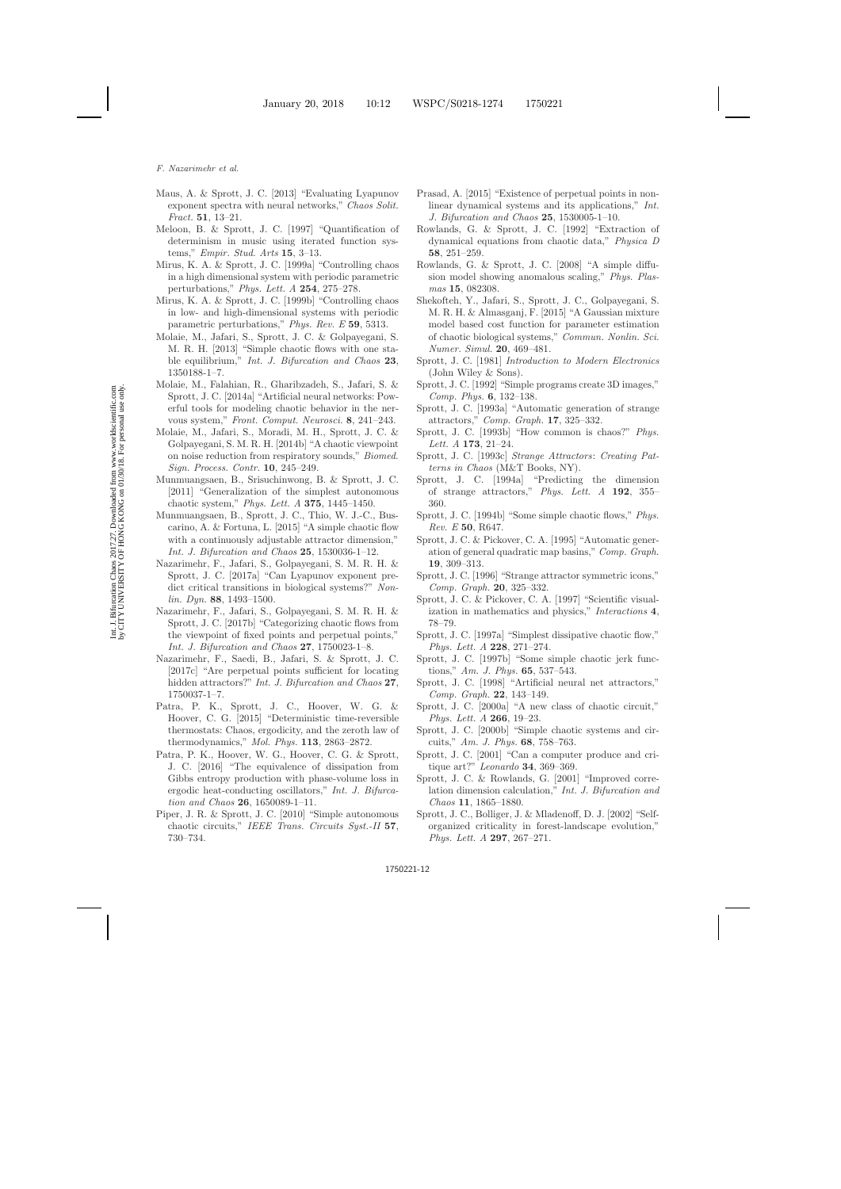- <span id="page-11-37"></span>Maus, A. & Sprott, J. C. [2013] "Evaluating Lyapunov exponent spectra with neural networks," *Chaos Solit. Fract.* **51**, 13–21.
- <span id="page-11-31"></span>Meloon, B. & Sprott, J. C. [1997] "Quantification of determinism in music using iterated function systems," *Empir. Stud. Arts* **15**, 3–13.
- <span id="page-11-34"></span>Mirus, K. A. & Sprott, J. C. [1999a] "Controlling chaos in a high dimensional system with periodic parametric perturbations," *Phys. Lett. A* **254**, 275–278.
- <span id="page-11-17"></span>Mirus, K. A. & Sprott, J. C. [1999b] "Controlling chaos in low- and high-dimensional systems with periodic parametric perturbations," *Phys. Rev. E* **59**, 5313.
- <span id="page-11-12"></span>Molaie, M., Jafari, S., Sprott, J. C. & Golpayegani, S. M. R. H. [2013] "Simple chaotic flows with one stable equilibrium," *Int. J. Bifurcation and Chaos* **23**, 1350188-1–7.
- <span id="page-11-32"></span>Molaie, M., Falahian, R., Gharibzadeh, S., Jafari, S. & Sprott, J. C. [2014a] "Artificial neural networks: Powerful tools for modeling chaotic behavior in the nervous system," *Front. Comput. Neurosci.* **8**, 241–243.
- <span id="page-11-39"></span>Molaie, M., Jafari, S., Moradi, M. H., Sprott, J. C. & Golpayegani, S. M. R. H. [2014b] "A chaotic viewpoint on noise reduction from respiratory sounds," *Biomed. Sign. Process. Contr.* **10**, 245–249.
- <span id="page-11-10"></span>Munmuangsaen, B., Srisuchinwong, B. & Sprott, J. C. [2011] "Generalization of the simplest autonomous chaotic system," *Phys. Lett. A* **375**, 1445–1450.
- <span id="page-11-13"></span>Munmuangsaen, B., Sprott, J. C., Thio, W. J.-C., Buscarino, A. & Fortuna, L. [2015] "A simple chaotic flow with a continuously adjustable attractor dimension," *Int. J. Bifurcation and Chaos* **25**, 1530036-1–12.
- <span id="page-11-38"></span>Nazarimehr, F., Jafari, S., Golpayegani, S. M. R. H. & Sprott, J. C. [2017a] "Can Lyapunov exponent predict critical transitions in biological systems?" *Nonlin. Dyn.* **88**, 1493–1500.
- <span id="page-11-15"></span>Nazarimehr, F., Jafari, S., Golpayegani, S. M. R. H. & Sprott, J. C. [2017b] "Categorizing chaotic flows from the viewpoint of fixed points and perpetual points," *Int. J. Bifurcation and Chaos* **27**, 1750023-1–8.
- <span id="page-11-16"></span>Nazarimehr, F., Saedi, B., Jafari, S. & Sprott, J. C. [2017c] "Are perpetual points sufficient for locating hidden attractors?" *Int. J. Bifurcation and Chaos* **27**, 1750037-1–7.
- <span id="page-11-28"></span>Patra, P. K., Sprott, J. C., Hoover, W. G. & Hoover, C. G. [2015] "Deterministic time-reversible thermostats: Chaos, ergodicity, and the zeroth law of thermodynamics," *Mol. Phys.* **113**, 2863–2872.
- <span id="page-11-29"></span>Patra, P. K., Hoover, W. G., Hoover, C. G. & Sprott, J. C. [2016] "The equivalence of dissipation from Gibbs entropy production with phase-volume loss in ergodic heat-conducting oscillators," *Int. J. Bifurcation and Chaos* **26**, 1650089-1–11.
- <span id="page-11-27"></span>Piper, J. R. & Sprott, J. C. [2010] "Simple autonomous chaotic circuits," *IEEE Trans. Circuits Syst.-II* **57**, 730–734.
- <span id="page-11-14"></span>Prasad, A. [2015] "Existence of perpetual points in nonlinear dynamical systems and its applications," *Int. J. Bifurcation and Chaos* **25**, 1530005-1–10.
- <span id="page-11-35"></span>Rowlands, G. & Sprott, J. C. [1992] "Extraction of dynamical equations from chaotic data," *Physica D* **58**, 251–259.
- <span id="page-11-11"></span>Rowlands, G. & Sprott, J. C. [2008] "A simple diffusion model showing anomalous scaling," *Phys. Plasmas* **15**, 082308.
- <span id="page-11-33"></span>Shekofteh, Y., Jafari, S., Sprott, J. C., Golpayegani, S. M. R. H. & Almasganj, F. [2015] "A Gaussian mixture model based cost function for parameter estimation of chaotic biological systems," *Commun. Nonlin. Sci. Numer. Simul.* **20**, 469–481.
- <span id="page-11-25"></span>Sprott, J. C. [1981] *Introduction to Modern Electronics* (John Wiley & Sons).
- <span id="page-11-19"></span>Sprott, J. C. [1992] "Simple programs create 3D images," *Comp. Phys.* **6**, 132–138.
- <span id="page-11-6"></span>Sprott, J. C. [1993a] "Automatic generation of strange attractors," *Comp. Graph.* **17**, 325–332.
- <span id="page-11-0"></span>Sprott, J. C. [1993b] "How common is chaos?" *Phys. Lett. A* **173**, 21–24.
- <span id="page-11-1"></span>Sprott, J. C. [1993c] *Strange Attractors*: *Creating Patterns in Chaos* (M&T Books, NY).
- <span id="page-11-5"></span>Sprott, J. C. [1994a] "Predicting the dimension of strange attractors," *Phys. Lett. A* **192**, 355– 360.
- <span id="page-11-7"></span><span id="page-11-2"></span>Sprott, J. C. [1994b] "Some simple chaotic flows," *Phys. Rev. E* **50**, R647.
- <span id="page-11-23"></span>Sprott, J. C. & Pickover, C. A. [1995] "Automatic generation of general quadratic map basins," *Comp. Graph.* **19**, 309–313.
- <span id="page-11-24"></span>Sprott, J. C. [1996] "Strange attractor symmetric icons," *Comp. Graph.* **20**, 325–332.
- <span id="page-11-22"></span>Sprott, J. C. & Pickover, C. A. [1997] "Scientific visualization in mathematics and physics," *Interactions* **4**, 78–79.
- <span id="page-11-8"></span><span id="page-11-3"></span>Sprott, J. C. [1997a] "Simplest dissipative chaotic flow," *Phys. Lett. A* **228**, 271–274.
- <span id="page-11-9"></span><span id="page-11-4"></span>Sprott, J. C. [1997b] "Some simple chaotic jerk functions," *Am. J. Phys.* **65**, 537–543.
- <span id="page-11-20"></span><span id="page-11-18"></span>Sprott, J. C. [1998] "Artificial neural net attractors," *Comp. Graph.* **22**, 143–149.
- <span id="page-11-26"></span>Sprott, J. C. [2000a] "A new class of chaotic circuit," *Phys. Lett. A* **266**, 19–23.
- Sprott, J. C. [2000b] "Simple chaotic systems and circuits," *Am. J. Phys.* **68**, 758–763.
- <span id="page-11-21"></span>Sprott, J. C. [2001] "Can a computer produce and critique art?" *Leonardo* **34**, 369–369.
- <span id="page-11-36"></span>Sprott, J. C. & Rowlands, G. [2001] "Improved correlation dimension calculation," *Int. J. Bifurcation and Chaos* **11**, 1865–1880.
- <span id="page-11-30"></span>Sprott, J. C., Bolliger, J. & Mladenoff, D. J. [2002] "Selforganized criticality in forest-landscape evolution," *Phys. Lett. A* **297**, 267–271.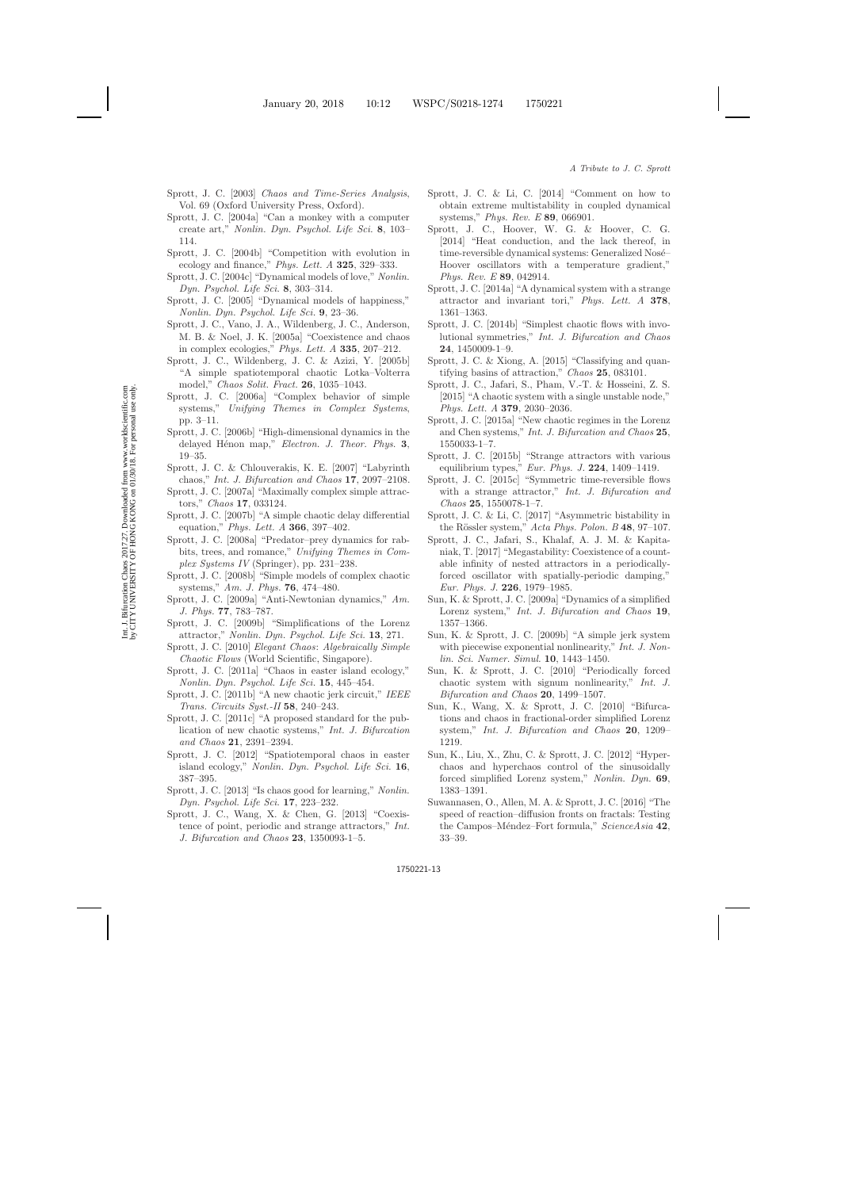- <span id="page-12-43"></span>Sprott, J. C. [2003] *Chaos and Time-Series Analysis*, Vol. 69 (Oxford University Press, Oxford).
- <span id="page-12-29"></span>Sprott, J. C. [2004a] "Can a monkey with a computer create art," *Nonlin. Dyn. Psychol. Life Sci.* **8**, 103– 114.
- <span id="page-12-33"></span>Sprott, J. C. [2004b] "Competition with evolution in ecology and finance," *Phys. Lett. A* **325**, 329–333.
- <span id="page-12-34"></span>Sprott, J. C. [2004c] "Dynamical models of love," *Nonlin. Dyn. Psychol. Life Sci.* **8**, 303–314.
- <span id="page-12-36"></span>Sprott, J. C. [2005] "Dynamical models of happiness," *Nonlin. Dyn. Psychol. Life Sci.* **9**, 23–36.
- <span id="page-12-42"></span><span id="page-12-39"></span>Sprott, J. C., Vano, J. A., Wildenberg, J. C., Anderson, M. B. & Noel, J. K. [2005a] "Coexistence and chaos in complex ecologies," *Phys. Lett. A* **335**, 207–212.
- <span id="page-12-23"></span>Sprott, J. C., Wildenberg, J. C. & Azizi, Y. [2005b] "A simple spatiotemporal chaotic Lotka–Volterra model," *Chaos Solit. Fract.* **26**, 1035–1043.
- <span id="page-12-6"></span>Sprott, J. C. [2006a] "Complex behavior of simple systems," *Unifying Themes in Complex Systems*, pp. 3–11.
- <span id="page-12-26"></span><span id="page-12-24"></span>Sprott, J. C. [2006b] "High-dimensional dynamics in the delayed H´enon map," *Electron. J. Theor. Phys.* **3**, 19–35.
- <span id="page-12-14"></span>Sprott, J. C. & Chlouverakis, K. E. [2007] "Labyrinth chaos," *Int. J. Bifurcation and Chaos* **17**, 2097–2108.
- <span id="page-12-3"></span>Sprott, J. C. [2007a] "Maximally complex simple attractors," *Chaos* **17**, 033124.
- <span id="page-12-25"></span>Sprott, J. C. [2007b] "A simple chaotic delay differential equation," *Phys. Lett. A* **366**, 397–402.
- <span id="page-12-35"></span>Sprott, J. C. [2008a] "Predator–prey dynamics for rabbits, trees, and romance," *Unifying Themes in Complex Systems IV* (Springer), pp. 231–238.
- <span id="page-12-2"></span>Sprott, J. C. [2008b] "Simple models of complex chaotic systems," *Am. J. Phys.* **76**, 474–480.
- <span id="page-12-41"></span>Sprott, J. C. [2009a] "Anti-Newtonian dynamics," *Am. J. Phys.* **77**, 783–787.
- <span id="page-12-16"></span>Sprott, J. C. [2009b] "Simplifications of the Lorenz attractor," *Nonlin. Dyn. Psychol. Life Sci.* **13**, 271.
- <span id="page-12-5"></span><span id="page-12-0"></span>Sprott, J. C. [2010] *Elegant Chaos*: *Algebraically Simple Chaotic Flows* (World Scientific, Singapore).
- <span id="page-12-37"></span>Sprott, J. C. [2011a] "Chaos in easter island ecology," *Nonlin. Dyn. Psychol. Life Sci.* **15**, 445–454.
- <span id="page-12-30"></span>Sprott, J. C. [2011b] "A new chaotic jerk circuit," *IEEE Trans. Circuits Syst.-II* **58**, 240–243.
- <span id="page-12-4"></span>Sprott, J. C. [2011c] "A proposed standard for the publication of new chaotic systems," *Int. J. Bifurcation and Chaos* **21**, 2391–2394.
- <span id="page-12-38"></span><span id="page-12-22"></span>Sprott, J. C. [2012] "Spatiotemporal chaos in easter island ecology," *Nonlin. Dyn. Psychol. Life Sci.* **16**, 387–395.
- <span id="page-12-40"></span>Sprott, J. C. [2013] "Is chaos good for learning," *Nonlin. Dyn. Psychol. Life Sci.* **17**, 223–232.
- <span id="page-12-9"></span>Sprott, J. C., Wang, X. & Chen, G. [2013] "Coexistence of point, periodic and strange attractors," *Int. J. Bifurcation and Chaos* **23**, 1350093-1–5.
- <span id="page-12-11"></span>Sprott, J. C. & Li, C. [2014] "Comment on how to obtain extreme multistability in coupled dynamical systems," *Phys. Rev. E* **89**, 066901.
- <span id="page-12-31"></span>Sprott, J. C., Hoover, W. G. & Hoover, C. G. [2014] "Heat conduction, and the lack thereof, in time-reversible dynamical systems: Generalized Nosé-Hoover oscillators with a temperature gradient," *Phys. Rev. E* **89**, 042914.
- <span id="page-12-12"></span>Sprott, J. C. [2014a] "A dynamical system with a strange attractor and invariant tori," *Phys. Lett. A* **378**, 1361–1363.
- <span id="page-12-10"></span>Sprott, J. C. [2014b] "Simplest chaotic flows with involutional symmetries," *Int. J. Bifurcation and Chaos* **24**, 1450009-1–9.
- <span id="page-12-28"></span>Sprott, J. C. & Xiong, A. [2015] "Classifying and quantifying basins of attraction," *Chaos* **25**, 083101.
- <span id="page-12-8"></span>Sprott, J. C., Jafari, S., Pham, V.-T. & Hosseini, Z. S. [2015] "A chaotic system with a single unstable node," *Phys. Lett. A* **379**, 2030–2036.
- <span id="page-12-20"></span>Sprott, J. C. [2015a] "New chaotic regimes in the Lorenz and Chen systems," *Int. J. Bifurcation and Chaos* **25**, 1550033-1–7.
- <span id="page-12-13"></span>Sprott, J. C. [2015b] "Strange attractors with various equilibrium types," *Eur. Phys. J.* **224**, 1409–1419.
- <span id="page-12-1"></span>Sprott, J. C. [2015c] "Symmetric time-reversible flows with a strange attractor," *Int. J. Bifurcation and Chaos* **25**, 1550078-1–7.
- <span id="page-12-27"></span>Sprott, J. C. & Li, C. [2017] "Asymmetric bistability in the R¨ossler system," *Acta Phys. Polon. B* **48**, 97–107.
- <span id="page-12-15"></span>Sprott, J. C., Jafari, S., Khalaf, A. J. M. & Kapitaniak, T. [2017] "Megastability: Coexistence of a countable infinity of nested attractors in a periodicallyforced oscillator with spatially-periodic damping," *Eur. Phys. J.* **226**, 1979–1985.
- <span id="page-12-17"></span>Sun, K. & Sprott, J. C. [2009a] "Dynamics of a simplified Lorenz system," *Int. J. Bifurcation and Chaos* **19**, 1357–1366.
- <span id="page-12-7"></span>Sun, K. & Sprott, J. C. [2009b] "A simple jerk system with piecewise exponential nonlinearity," *Int. J. Nonlin. Sci. Numer. Simul.* **10**, 1443–1450.
- <span id="page-12-21"></span>Sun, K. & Sprott, J. C. [2010] "Periodically forced chaotic system with signum nonlinearity," *Int. J. Bifurcation and Chaos* **20**, 1499–1507.
- <span id="page-12-18"></span>Sun, K., Wang, X. & Sprott, J. C. [2010] "Bifurcations and chaos in fractional-order simplified Lorenz system," *Int. J. Bifurcation and Chaos* **20**, 1209– 1219.
- <span id="page-12-19"></span>Sun, K., Liu, X., Zhu, C. & Sprott, J. C. [2012] "Hyperchaos and hyperchaos control of the sinusoidally forced simplified Lorenz system," *Nonlin. Dyn.* **69**, 1383–1391.
- <span id="page-12-32"></span>Suwannasen, O., Allen, M. A. & Sprott, J. C. [2016] "The speed of reaction–diffusion fronts on fractals: Testing the Campos–M´endez–Fort formula," *ScienceAsia* **42**, 33–39.